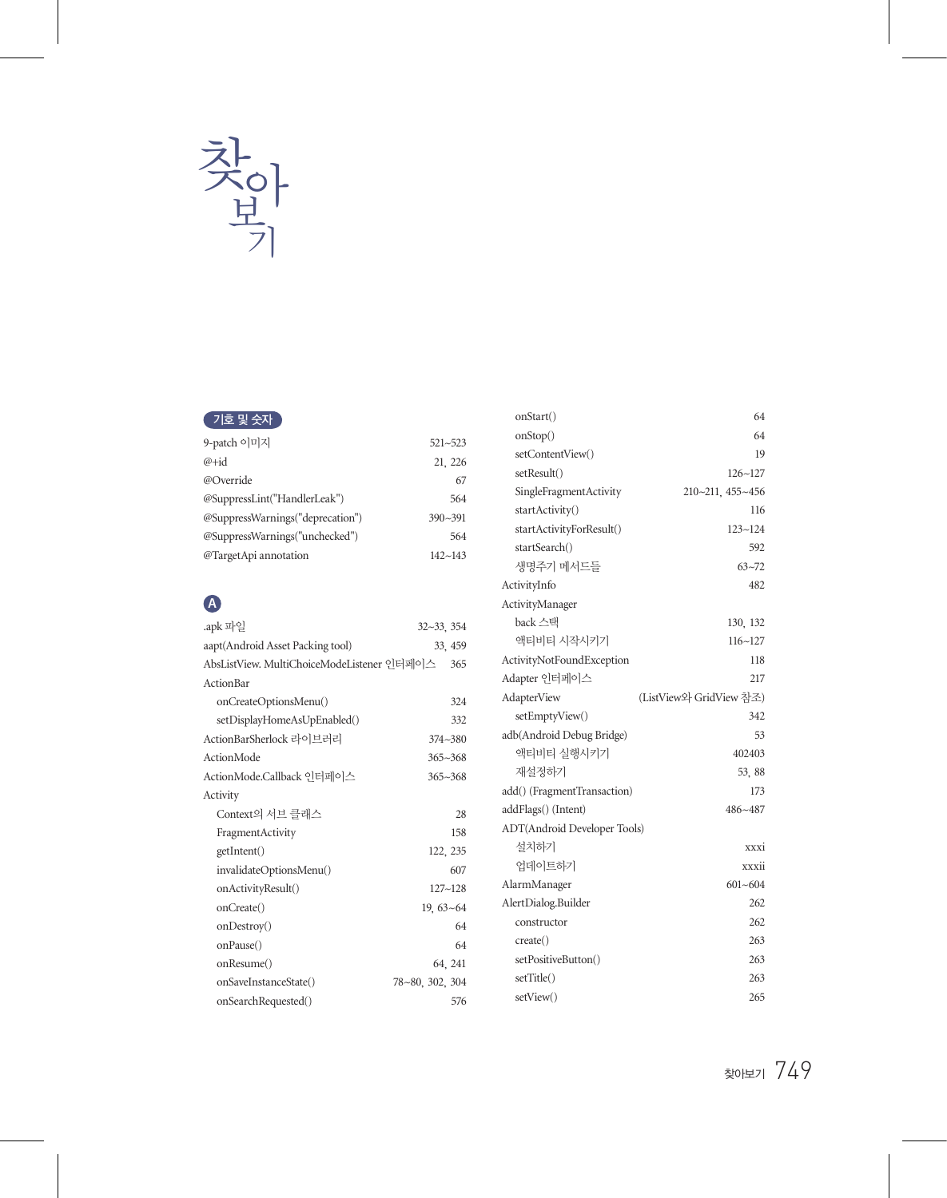

#### 기호 및 숫자

| 9-patch 이미지                      | $521 - 523$ |
|----------------------------------|-------------|
| $@+id$                           | 21, 226     |
| @Override                        | 67          |
| @SuppressLint("HandlerLeak")     | 564         |
| @SuppressWarnings("deprecation") | $390 - 391$ |
| @SuppressWarnings("unchecked")   | 564         |
| @TargetApi annotation            | $142 - 143$ |

## **A**

| .apk 파일                                    | $32 - 33$ , $354$ |
|--------------------------------------------|-------------------|
| aapt(Android Asset Packing tool)           | 33, 459           |
| AbsListView. MultiChoiceModeListener 인터페이스 | 365               |
| Action Bar                                 |                   |
| onCreateOptionsMenu()                      | 324               |
| setDisplayHomeAsUpEnabled()                | 332               |
| ActionBarSherlock 라이브러리                    | $374 - 380$       |
| ActionMode                                 | $365 - 368$       |
| ActionMode.Callback 인터페이스                  | $365 - 368$       |
| Activity                                   |                   |
| Context의 서브 클래스                            | 28                |
| FragmentActivity                           | 158               |
| getIntent()                                | 122, 235          |
| invalidateOptionsMenu()                    | 607               |
| onActivityResult()                         | $127 - 128$       |
| onCreate()                                 | $19.63 - 64$      |
| onDestroy()                                | 64                |
| onPause()                                  | 64                |
| onResume()                                 | 64, 241           |
| onSaveInstanceState()                      | 78~80, 302, 304   |
| onSearchRequested()                        | 576               |

| onStart()                    | 64                      |
|------------------------------|-------------------------|
| onStop()                     | 64                      |
| setContentView()             | 19                      |
| setResult()                  | $126 - 127$             |
| SingleFragmentActivity       | 210~211, 455~456        |
| startActivity()              | 116                     |
| startActivityForResult()     | $123 - 124$             |
| startSearch()                | 592                     |
| 생명주기 메서드들                    | $63 - 72$               |
| ActivityInfo                 | 482                     |
| ActivityManager              |                         |
| back 스택                      | 130, 132                |
| 액티비티 시작시키기                   | $116 - 127$             |
| ActivityNotFoundException    | 118                     |
| Adapter 인터페이스                | 217                     |
| AdapterView                  | (ListView와 GridView 참조) |
| setEmptyView()               | 342                     |
| adb(Android Debug Bridge)    | 53                      |
| 액티비티 실행시키기                   | 402403                  |
| 재설정하기                        | 53, 88                  |
| add() (FragmentTransaction)  | 173                     |
| addFlags() (Intent)          | $486 - 487$             |
| ADT(Android Developer Tools) |                         |
| 설치하기                         | xxxi                    |
| 업데이트하기                       | xxxii                   |
| AlarmManager                 | $601 - 604$             |
| AlertDialog.Builder          | 262                     |
| constructor                  | 262                     |
| create()                     | 263                     |
| setPositiveButton()          | 263                     |
| setTitle()                   | 263                     |
| setView()                    | 265                     |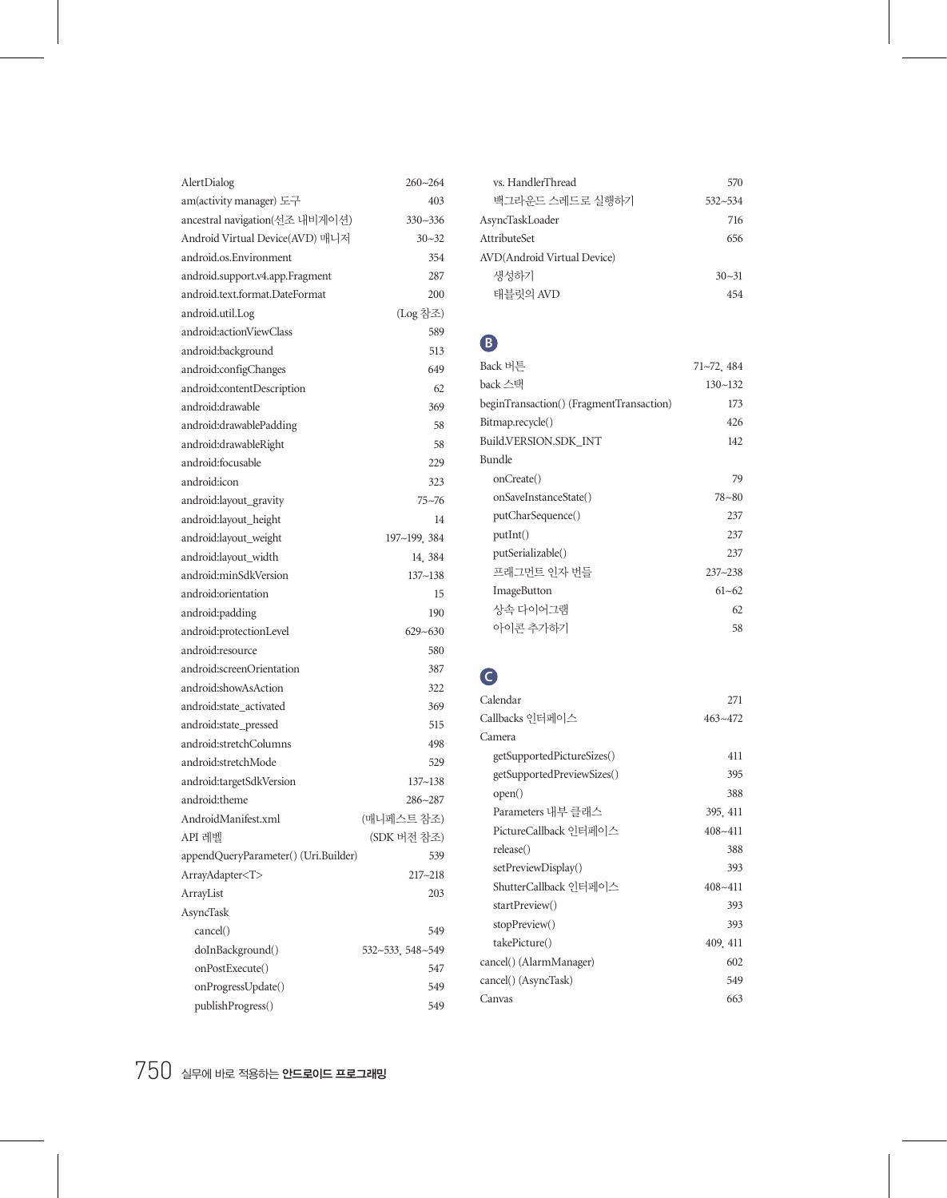| AlertDialog                          | $260 - 264$      |
|--------------------------------------|------------------|
| am(activity manager) 도구              | 403              |
| ancestral navigation(선조 내비게이션)       | $330 - 336$      |
| Android Virtual Device(AVD) 매니저      | $30 - 32$        |
| android.os.Environment               | 354              |
| android.support.v4.app.Fragment      | 287              |
| android.text.format.DateFormat       | 200              |
| android.util.Log                     | (Log 참조)         |
| android:actionViewClass              | 589              |
| android:background                   | 513              |
| android:configChanges                | 649              |
| android:contentDescription           | 62               |
| android:drawable                     | 369              |
| android:drawablePadding              | 58               |
| android:drawableRight                | 58               |
| android:focusable                    | 229              |
| android:icon                         | 323              |
| android:layout_gravity               | $75 - 76$        |
| android:layout_height                | 14               |
| android:layout_weight                | 197~199, 384     |
| android:layout_width                 | 14, 384          |
| android:minSdkVersion                | $137 - 138$      |
| android:orientation                  | 15               |
| android:padding                      | 190              |
| android:protectionLevel              | $629 - 630$      |
| android:resource                     | 580              |
| android:screenOrientation            | 387              |
| android:showAsAction                 | 322              |
| android:state_activated              | 369              |
| android:state_pressed                | 515              |
| android:stretchColumns               | 498              |
| android:stretchMode                  | 529              |
| android:targetSdkVersion             | $137 - 138$      |
| android:theme                        | 286~287          |
| AndroidManifest.xml                  | (매니페스트 참조)       |
| API 레벨                               | (SDK 버전 참조)      |
| appendQueryParameter() (Uri.Builder) | 539              |
| ArrayAdapter<1>                      | 217~218          |
| ArrayList                            | 203              |
| AsyncTask                            |                  |
| cancel()                             | 549              |
| doInBackground()                     | 532~533, 548~549 |
| onPostExecute()                      | 547              |
| onProgressUpdate()                   | 549              |
| publishProgress()                    | 549              |
|                                      |                  |

| ys. HandlerThread           | 570         |
|-----------------------------|-------------|
| 백그라운드 스레드로 실행하기             | $532 - 534$ |
| AsyncTaskLoader             | 716         |
| <b>AttributeSet</b>         | 656         |
| AVD(Android Virtual Device) |             |
| 생성하기                        | $30 - 31$   |
| 태블릿의 AVD                    | 454         |

## **B**

| Back 버튼                                  | 71~72, 484  |
|------------------------------------------|-------------|
| back 스택                                  | $130 - 132$ |
| beginTransaction() (FragmentTransaction) | 173         |
| Bitmap.recycle()                         | 426         |
| Build.VERSION.SDK INT                    | 142         |
| Bundle                                   |             |
| onCreate()                               | 79          |
| onSaveInstanceState()                    | $78 - 80$   |
| putCharSequence()                        | 237         |
| putInt()                                 | 237         |
| putSerializable()                        | 237         |
| 프래그먼트 인자 번들                              | $237 - 238$ |
| ImageButton                              | $61 - 62$   |
| 상속 다이어그램                                 | 62          |
| 아이콘 추가하기                                 | 58          |
|                                          |             |

# **C**

| Calendar                   | 271         |
|----------------------------|-------------|
| Callbacks 인터페이스            | $463 - 472$ |
| Camera                     |             |
| getSupportedPictureSizes() | 411         |
| getSupportedPreviewSizes() | 395         |
| open()                     | 388         |
| Parameters 내부 클래스          | 395, 411    |
| PictureCallback 인터페이스      | $408 - 411$ |
| release()                  | 388         |
| setPreviewDisplay()        | 393         |
| ShutterCallback 인터페이스      | $408 - 411$ |
| startPreview()             | 393         |
| stopPreview()              | 393         |
| takePicture()              | 409, 411    |
| cancel() (AlarmManager)    | 602         |
| cancel() (AsyncTask)       | 549         |
| Canvas                     | 663         |
|                            |             |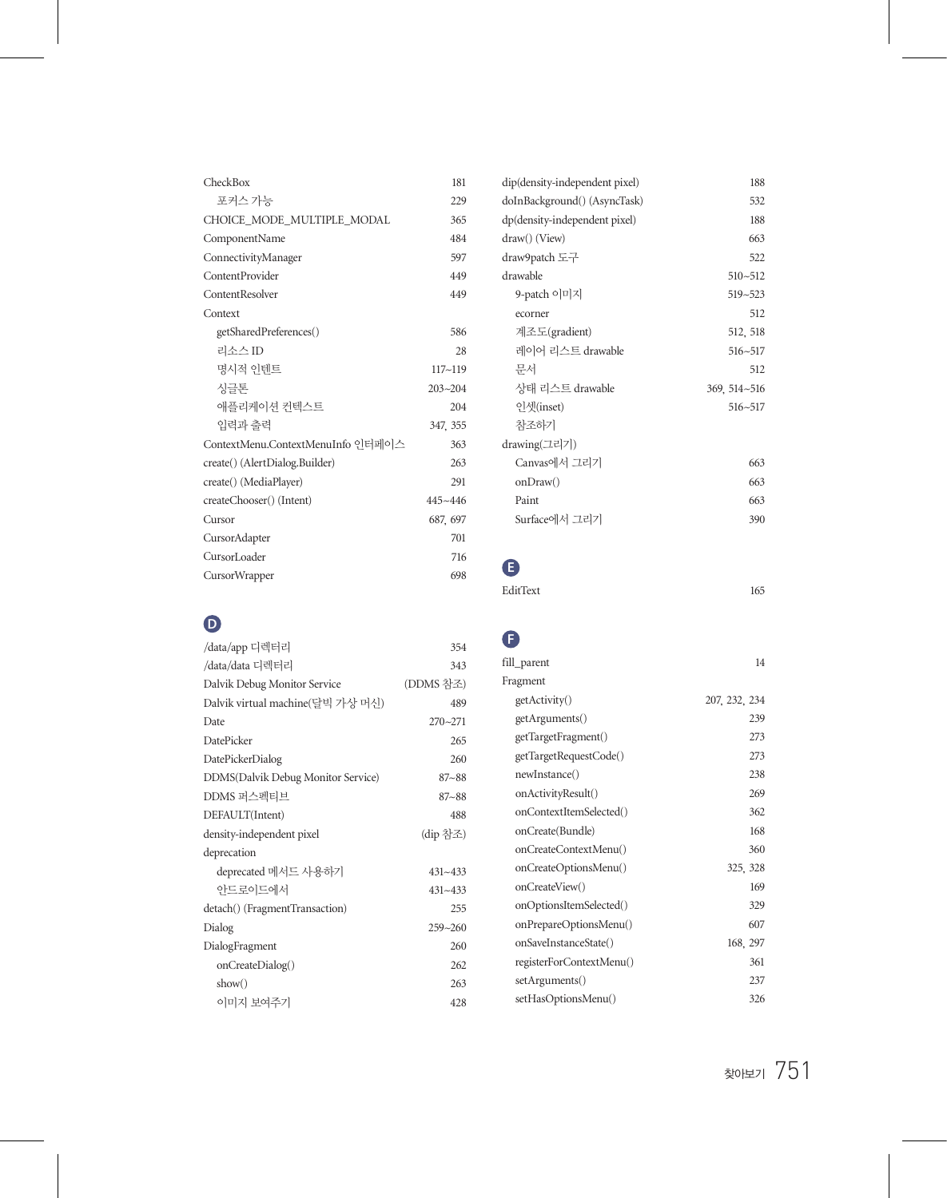| CheckBox                          | 181         |
|-----------------------------------|-------------|
| 포커스 가능                            | 229         |
| CHOICE_MODE_MULTIPLE_MODAL        | 365         |
| ComponentName                     | 484         |
| ConnectivityManager               | 597         |
| ContentProvider                   | 449         |
| ContentResolver                   | 449         |
| Context                           |             |
| getSharedPreferences()            | 586         |
| 리소스 ID                            | 28          |
| 명시적 이테트                           | $117 - 119$ |
| 시글톤                               | $203 - 204$ |
| 애플리케이션 커텍스트                       | 204         |
| 입력과 출력                            | 347, 355    |
| ContextMenu.ContextMenuInfo 인터페이스 | 363         |
| create() (AlertDialog.Builder)    | 263         |
| create() (MediaPlayer)            | 291         |
| createChooser() (Intent)          | $445 - 446$ |
| Cursor                            | 687, 697    |
| CursorAdapter                     | 701         |
| CursorLoader                      | 716         |
| CursorWrapper                     | 698         |

# **D**

| /data/app 디렉터리                     | 354         |
|------------------------------------|-------------|
| /data/data 디렉터리                    | 343         |
| Dalvik Debug Monitor Service       | (DDMS 참조)   |
| Dalvik virtual machine(달빅 가상 머신)   | 489         |
| Date                               | $270 - 271$ |
| <b>DatePicker</b>                  | 265         |
| DatePickerDialog                   | 260         |
| DDMS(Dalvik Debug Monitor Service) | $87 - 88$   |
| DDMS 퍼스펙티브                         | $87 - 88$   |
| DEFAULT(Intent)                    | 488         |
| density-independent pixel          | (dip 참조)    |
| deprecation                        |             |
| deprecated 메서드 사용하기                | $431 - 433$ |
| 아드로이드에서                            | $431 - 433$ |
| detach() (FragmentTransaction)     | 255         |
| Dialog                             | $259 - 260$ |
| DialogFragment                     | 260         |
| onCreateDialog()                   | 262         |
| show()                             | 263         |
| 이미지 보여주기                           | 428         |

| dip(density-independent pixel) | 188          |
|--------------------------------|--------------|
| doInBackground() (AsyncTask)   | 532          |
| dp(density-independent pixel)  | 188          |
| draw() (View)                  | 663          |
| draw9patch 도구                  | 522          |
| drawable                       | $510 - 512$  |
| 9-patch 이미지                    | 519~523      |
| ecorner                        | 512          |
| 계조도(gradient)                  | 512, 518     |
| 레이어 리스트 drawable               | $516 - 517$  |
| 문서                             | 512          |
| 상태 리스트 drawable                | 369, 514~516 |
| 인셋(inset)                      | $516 - 517$  |
| 참조하기                           |              |
| drawing(그리기)                   |              |
| Canvas에서 그리기                   | 663          |
| onDraw()                       | 663          |
| Paint                          | 663          |
| Surface에서 그리기                  | 390          |
|                                |              |

# **E**

| EditText | 165 |
|----------|-----|
|          |     |

# **F**

| fill_parent              | 14            |
|--------------------------|---------------|
| Fragment                 |               |
| getActivity()            | 207, 232, 234 |
| getArguments()           | 239           |
| getTargetFragment()      | 273           |
| getTargetRequestCode()   | 273           |
| newInstance()            | 238           |
| onActivityResult()       | 269           |
| onContextItemSelected()  | 362           |
| onCreate(Bundle)         | 168           |
| onCreateContextMenu()    | 360           |
| onCreateOptionsMenu()    | 325, 328      |
| onCreateView()           | 169           |
| onOptionsItemSelected()  | 329           |
| onPrepareOptionsMenu()   | 607           |
| onSaveInstanceState()    | 168, 297      |
| registerForContextMenu() | 361           |
| setArguments()           | 237           |
| setHasOptionsMenu()      | 326           |
|                          |               |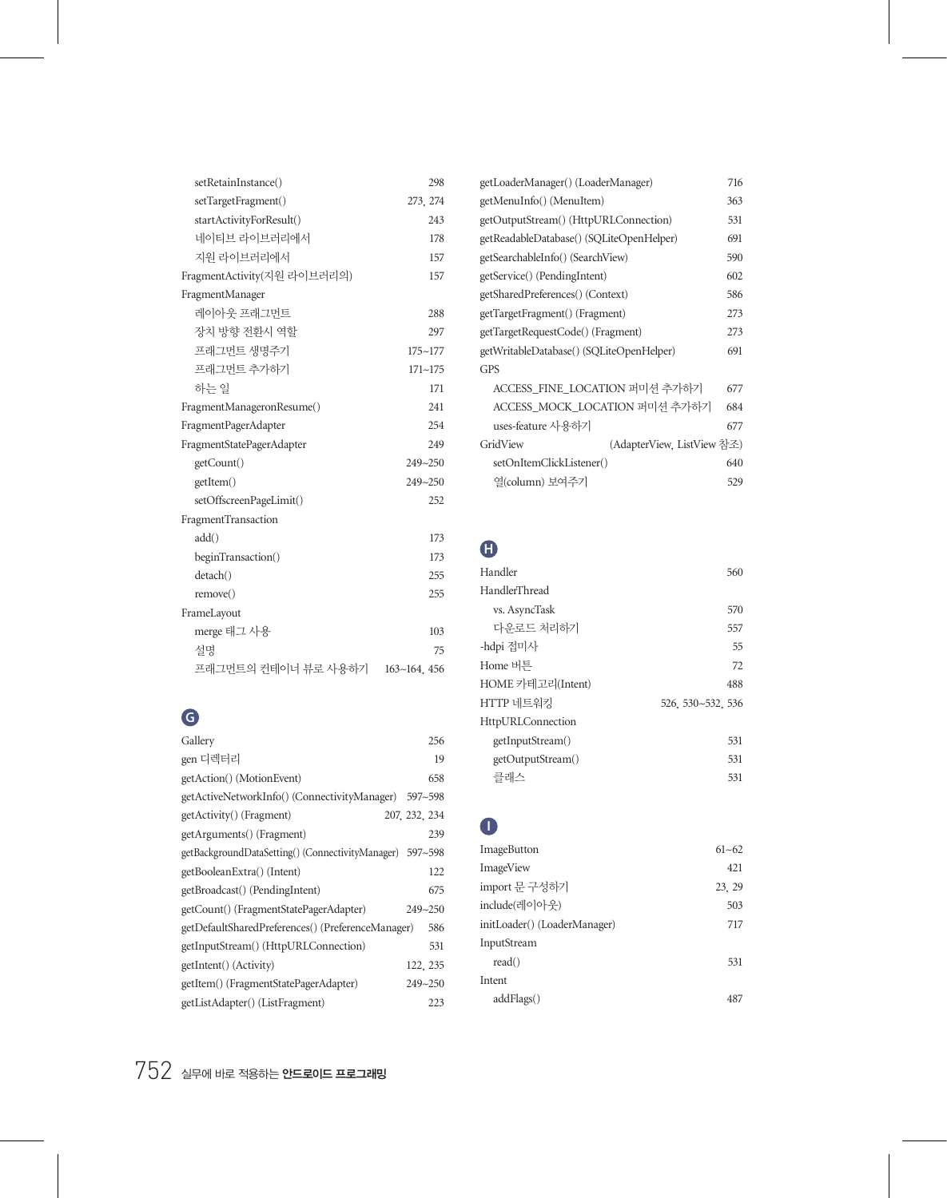| setRetainInstance()         | 298          |
|-----------------------------|--------------|
| setTargetFragment()         | 273, 274     |
| startActivityForResult()    | 243          |
| 네이티브 라이브러리에서                | 178          |
| 지워 라이브러리에서                  | 157          |
| FragmentActivity(지워 라이브러리의) | 157          |
| FragmentManager             |              |
| 레이아우 프래그먼트                  | 288          |
| 장치 방향 전화시 역함                | 297          |
| 프래그먼트 생명주기                  | $175 - 177$  |
| 프래그먼트 추가하기                  | $171 - 175$  |
| 하는 일                        | 171          |
| FragmentManageronResume()   | 241          |
| FragmentPagerAdapter        | 254          |
| FragmentStatePagerAdapter   | 249          |
| getCount()                  | 249~250      |
| getItem()                   | 249~250      |
| setOffscreenPageLimit()     | 252          |
| FragmentTransaction         |              |
| add()                       | 173          |
| beginTransaction()          | 173          |
| detach()                    | 255          |
| remove()                    | 255          |
| FrameLayout                 |              |
| merge 태그 사용                 | 103          |
| 설명                          | 75           |
| 프래그먼트의 컨테이너 뷰로 사용하기         | 163~164, 456 |

# **G**

| Gallery                                                 | 256           |
|---------------------------------------------------------|---------------|
| gen 디렉터리                                                | 19            |
| getAction() (MotionEvent)                               | 658           |
| getActiveNetworkInfo() (ConnectivityManager) 597~598    |               |
| getActivity() (Fragment)                                | 207, 232, 234 |
| getArguments() (Fragment)                               | 239           |
| getBackgroundDataSetting()(ConnectivityManager) 597~598 |               |
| getBooleanExtra() (Intent)                              | 122           |
| getBroadcast() (PendingIntent)                          | 675           |
| getCount() (FragmentStatePagerAdapter)                  | $249 - 250$   |
| getDefaultSharedPreferences() (PreferenceManager)       | 586           |
| getInputStream() (HttpURLConnection)                    | 531           |
| getIntent() (Activity)                                  | 122, 235      |
| getItem() (FragmentStatePagerAdapter)                   | 249~250       |
| getListAdapter() (ListFragment)                         | 223           |

| getLoaderManager() (LoaderManager)       | 716 |
|------------------------------------------|-----|
| getMenuInfo() (MenuItem)                 | 363 |
| getOutputStream() (HttpURLConnection)    | 531 |
| getReadableDatabase() (SQLiteOpenHelper) | 691 |
| getSearchableInfo() (SearchView)         | 590 |
| getService() (PendingIntent)             | 602 |
| getSharedPreferences() (Context)         | 586 |
| getTargetFragment() (Fragment)           | 273 |
| getTargetRequestCode() (Fragment)        | 273 |
| getWritableDatabase() (SQLiteOpenHelper) | 691 |
| GPS                                      |     |
| ACCESS FINE LOCATION 퍼미션 추가하기            | 677 |
| ACCESS MOCK LOCATION 퍼미션 추가하기            | 684 |
| uses-feature 사용하기                        | 677 |
| GridView<br>(AdapterView, ListView 참조)   |     |
| setOnItemClickListener()                 | 640 |
| 열(column) 보여주기                           | 529 |

### **H**

| Handler           | 560               |
|-------------------|-------------------|
| HandlerThread     |                   |
| vs. AsyncTask     | 570               |
| 다우로드 처리하기         | 557               |
| -hdpi 접미사         | 55                |
| Home 버튼           | 72                |
| HOME 카테고리(Intent) | 488               |
| HTTP 네트워킹         | 526, 530~532, 536 |
| HttpURLConnection |                   |
| getInputStream()  | 531               |
| getOutputStream() | 531               |
| 클래스               | 531               |

#### **I**

| <b>ImageButton</b>           | $61 - 62$ |
|------------------------------|-----------|
| ImageView                    | 421       |
| import 문 구성하기                | 23.29     |
| include(레이아웃)                | 503       |
| initLoader() (LoaderManager) | 717       |
| InputStream                  |           |
| read()                       | 531       |
| Intent                       |           |
| addFlags()                   |           |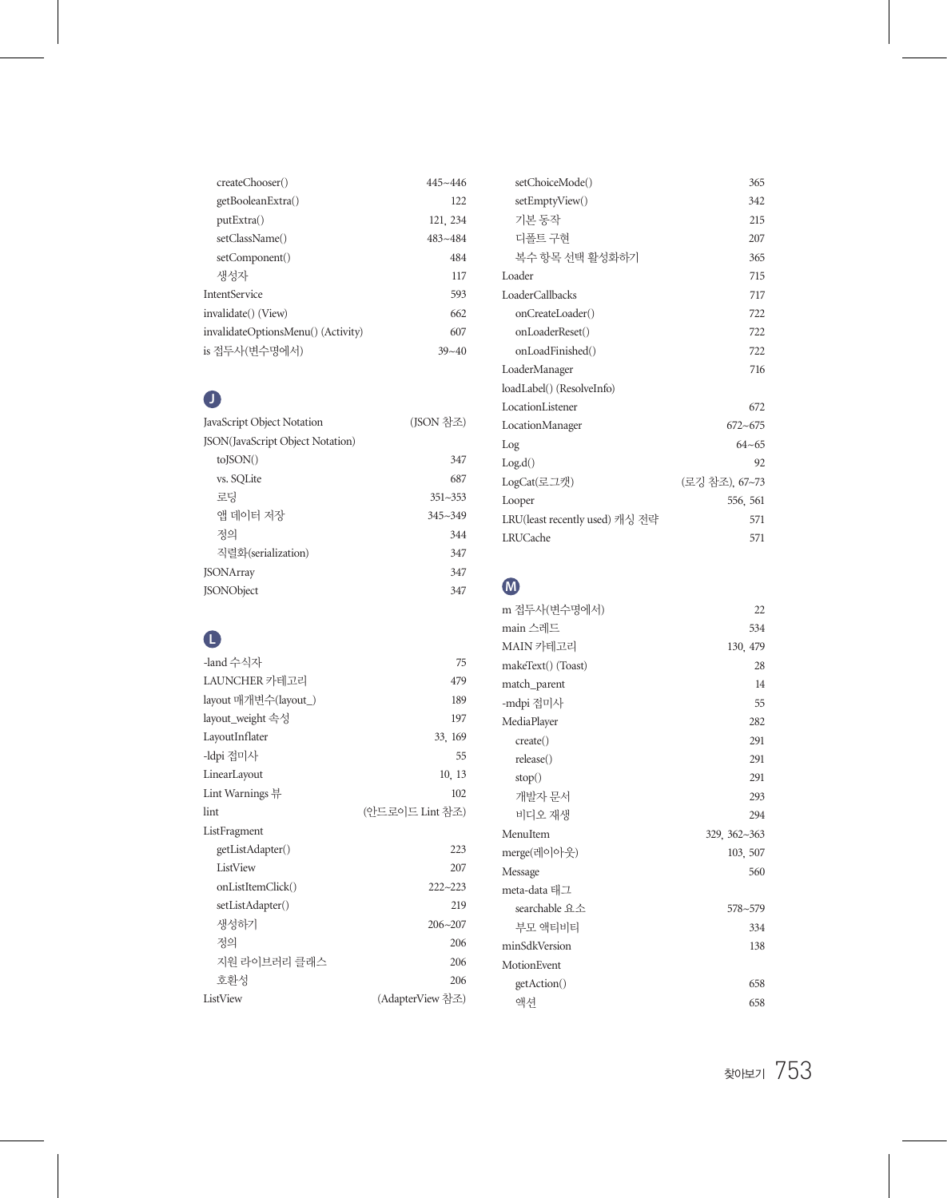| createChooser()                    | $445 - 446$ |
|------------------------------------|-------------|
| getBooleanExtra()                  | 122         |
| put Extra()                        | 121, 234    |
| setClassName()                     | $483 - 484$ |
| setComponent()                     | 484         |
| 생성자                                | 117         |
| <b>IntentService</b>               | 593         |
| invalidate() (View)                | 662         |
| invalidateOptionsMenu() (Activity) | 607         |
| is 접두사(변수명에서)                      | $39 - 40$   |

#### **J**

| JavaScript Object Notation       | (JSON 참조)   |
|----------------------------------|-------------|
| JSON(JavaScript Object Notation) |             |
| toISON()                         | 347         |
| vs. SOLite                       | 687         |
| 로딩                               | $351 - 353$ |
| 앤 데이터 저장                         | $345 - 349$ |
| 것의                               | 344         |
| 직렬화(serialization)               | 347         |
| <b>JSONArray</b>                 | 347         |
| <b>ISONObject</b>                | 347         |
|                                  |             |

## **L**

| -land 수식자            | 75               |
|----------------------|------------------|
| LAUNCHER 카테고리        | 479              |
| layout 매개변수(layout_) | 189              |
| layout_weight 속성     | 197              |
| LayoutInflater       | 33, 169          |
| -ldpi 접미사            | 55               |
| LinearLayout         | 10, 13           |
| Lint Warnings 뷰      | 102              |
| lint                 | (아드로이드 Lint 찪조)  |
| ListFragment         |                  |
| getListAdapter()     | 223              |
| ListView             | 207              |
| onListItemClick()    | $222 - 223$      |
| setListAdapter()     | 219              |
| 생성하기                 | $206 - 207$      |
| 정의                   | 206              |
| 지워 라이브러리 클래스         | 206              |
| 호화성                  | 206              |
| ListView             | (AdapterView 참조) |

| 146   | setChoiceMode()                | 365           |
|-------|--------------------------------|---------------|
| 122   | setEmptyView()                 | 342           |
| 234   | 기본 동작                          | 215           |
| 184   | 디폴트 구현                         | 207           |
| 184   | 복수 항목 선택 활성화하기                 | 365           |
| 117   | Loader                         | 715           |
| 593   | LoaderCallbacks                | 717           |
| 562   | onCreateLoader()               | 722           |
| 507   | onLoaderReset()                | 722           |
| $-40$ | onLoadFinished()               | 722           |
|       | LoaderManager                  | 716           |
|       | loadLabel() (ResolveInfo)      |               |
|       | LocationListener               | 672           |
| 조)    | LocationManager                | $672 - 675$   |
|       | Log                            | $64 - 65$     |
| 347   | Log.d()                        | 92            |
| 587   | LogCat(로그캣)                    | (로깅 참조) 67~73 |
| 353   | Looper                         | 556, 561      |
| 349   | LRU(least recently used) 캐싱 전략 | 571           |
| 344   | LRUCache                       | 571           |
| 347   |                                |               |
| 347   |                                |               |
| 347   | M                              |               |
|       |                                |               |

| m 접두사(변수명에서)       | 22           |
|--------------------|--------------|
| main 스레드           | 534          |
| MAIN 카테고리          | 130, 479     |
| makeText() (Toast) | 28           |
| match_parent       | 14           |
| -mdpi 접미사          | 55           |
| MediaPlayer        | 282          |
| create()           | 291          |
| release()          | 291          |
| stop()             | 291          |
| 개발자 문서             | 293          |
| 비디오 재생             | 294          |
| MenuItem           | 329, 362~363 |
| merge(레이아웃)        | 103, 507     |
| Message            | 560          |
| meta-data 태그       |              |
| searchable 요소      | $578 - 579$  |
| 부모 액티비티            | 334          |
| minSdkVersion      | 138          |
| MotionEvent        |              |
| getAction()        | 658          |
| 액셔                 | 658          |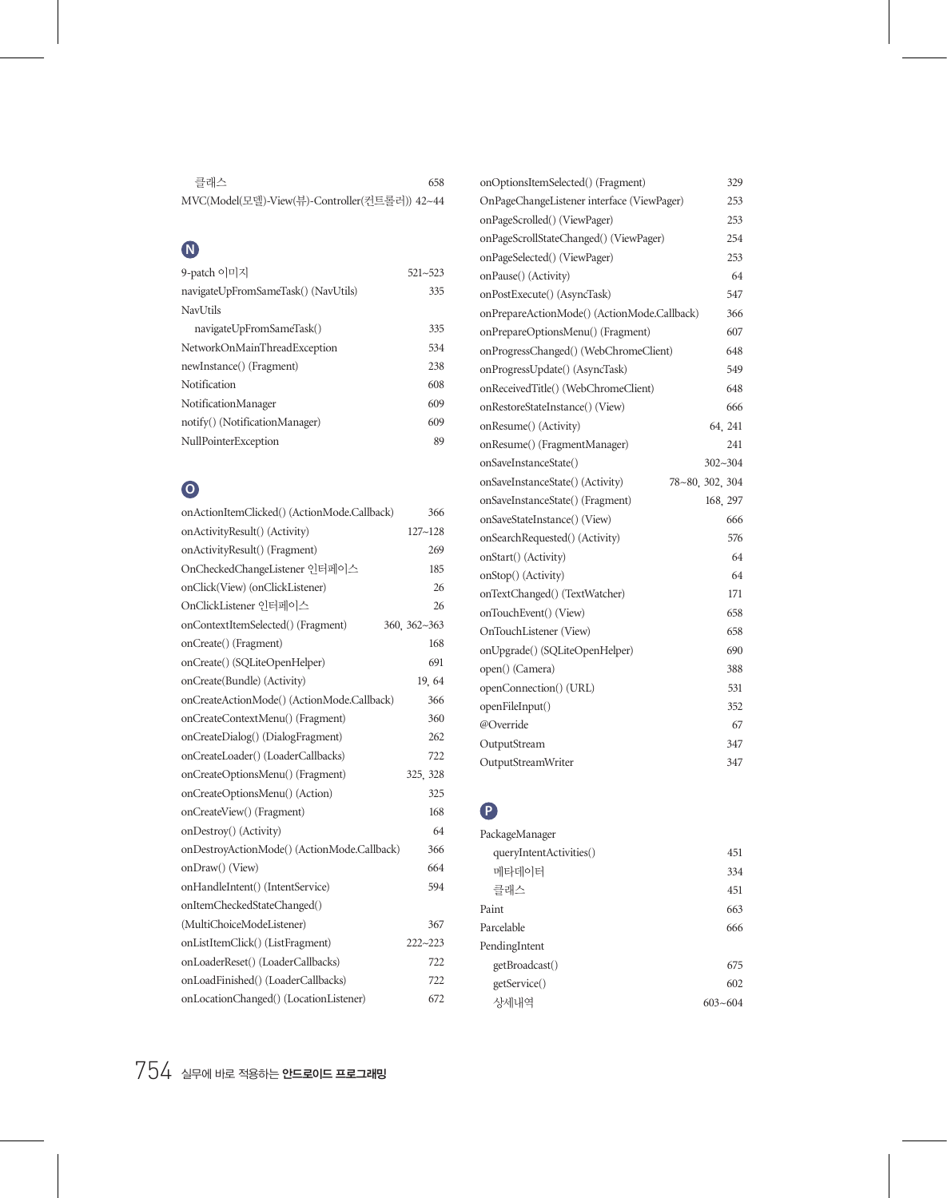| 클래스<br>658                                    |  |
|-----------------------------------------------|--|
| MVC(Model(모델)-View(뷰)-Controller(컨트롤러)) 42~44 |  |

## **N**

| 9-patch 이미지                         | $521 - 523$ |
|-------------------------------------|-------------|
| navigateUpFromSameTask() (NavUtils) | 335         |
| NavUtils                            |             |
| navigateUpFromSameTask()            | 335         |
| NetworkOnMainThreadException        | 534         |
| newInstance() (Fragment)            | 238         |
| Notification                        | 608         |
| NotificationManager                 | 609         |
| notify() (NotificationManager)      | 609         |
| NullPointerException                | 89          |

# **O**

| onActionItemClicked() (ActionMode.Callback) | 366          |
|---------------------------------------------|--------------|
| onActivityResult() (Activity)               | $127 - 128$  |
| onActivityResult() (Fragment)               | 269          |
| OnCheckedChangeListener 인터페이스               | 185          |
| onClick(View) (onClickListener)             | 26           |
| OnClickListener 인터페이스                       | 26           |
| onContextItemSelected() (Fragment)          | 360, 362~363 |
| onCreate() (Fragment)                       | 168          |
| onCreate() (SQLiteOpenHelper)               | 691          |
| onCreate(Bundle) (Activity)                 | 19.64        |
| onCreateActionMode() (ActionMode.Callback)  | 366          |
| onCreateContextMenu() (Fragment)            | 360          |
| onCreateDialog() (DialogFragment)           | 262          |
| onCreateLoader() (LoaderCallbacks)          | 722          |
| onCreateOptionsMenu() (Fragment)            | 325, 328     |
| onCreateOptionsMenu() (Action)              | 325          |
| onCreateView() (Fragment)                   | 168          |
| onDestroy() (Activity)                      | 64           |
| onDestroyActionMode() (ActionMode.Callback) | 366          |
| onDraw() (View)                             | 664          |
| onHandleIntent() (IntentService)            | 594          |
| onItemCheckedStateChanged()                 |              |
| (MultiChoiceModeListener)                   | 367          |
| onListItemClick() (ListFragment)            | $222 - 223$  |
| onLoaderReset() (LoaderCallbacks)           | 722          |
| onLoadFinished() (LoaderCallbacks)          | 722          |
| onLocationChanged() (LocationListener)      | 672          |

| onOptionsItemSelected() (Fragment)          | 329             |
|---------------------------------------------|-----------------|
| OnPageChangeListener interface (ViewPager)  | 253             |
| onPageScrolled() (ViewPager)                | 253             |
| onPageScrollStateChanged() (ViewPager)      | 254             |
| onPageSelected() (ViewPager)                | 253             |
| onPause() (Activity)                        | 64              |
| onPostExecute() (AsyncTask)                 | 547             |
| onPrepareActionMode() (ActionMode.Callback) | 366             |
| onPrepareOptionsMenu() (Fragment)           | 607             |
| onProgressChanged() (WebChromeClient)       | 648             |
| onProgressUpdate() (AsyncTask)              | 549             |
| onReceivedTitle() (WebChromeClient)         | 648             |
| onRestoreStateInstance() (View)             | 666             |
| onResume() (Activity)                       | 64, 241         |
| onResume() (FragmentManager)                | 241             |
| onSaveInstanceState()                       | 302~304         |
| onSaveInstanceState() (Activity)            | 78~80, 302, 304 |
| onSaveInstanceState() (Fragment)            | 168, 297        |
| onSaveStateInstance() (View)                | 666             |
| onSearchRequested() (Activity)              | 576             |
| onStart() (Activity)                        | 64              |
| onStop() (Activity)                         | 64              |
| onTextChanged() (TextWatcher)               | 171             |
| onTouchEvent() (View)                       | 658             |
| OnTouchListener (View)                      | 658             |
| onUpgrade() (SQLiteOpenHelper)              | 690             |
| open() (Camera)                             | 388             |
| openConnection() (URL)                      | 531             |
| openFileInput()                             | 352             |
| @Override                                   | 67              |
| OutputStream                                | 347             |
| OutputStreamWriter                          | 347             |

## **P**

| PackageManager          |         |
|-------------------------|---------|
| queryIntentActivities() | 451     |
| 메타데이터                   | 334     |
| 클래스                     | 451     |
| Paint                   | 663     |
| Parcelable              | 666     |
| PendingIntent           |         |
| getBroadcast()          | 675     |
| getService()            | 602     |
| 상세내역                    | 603~604 |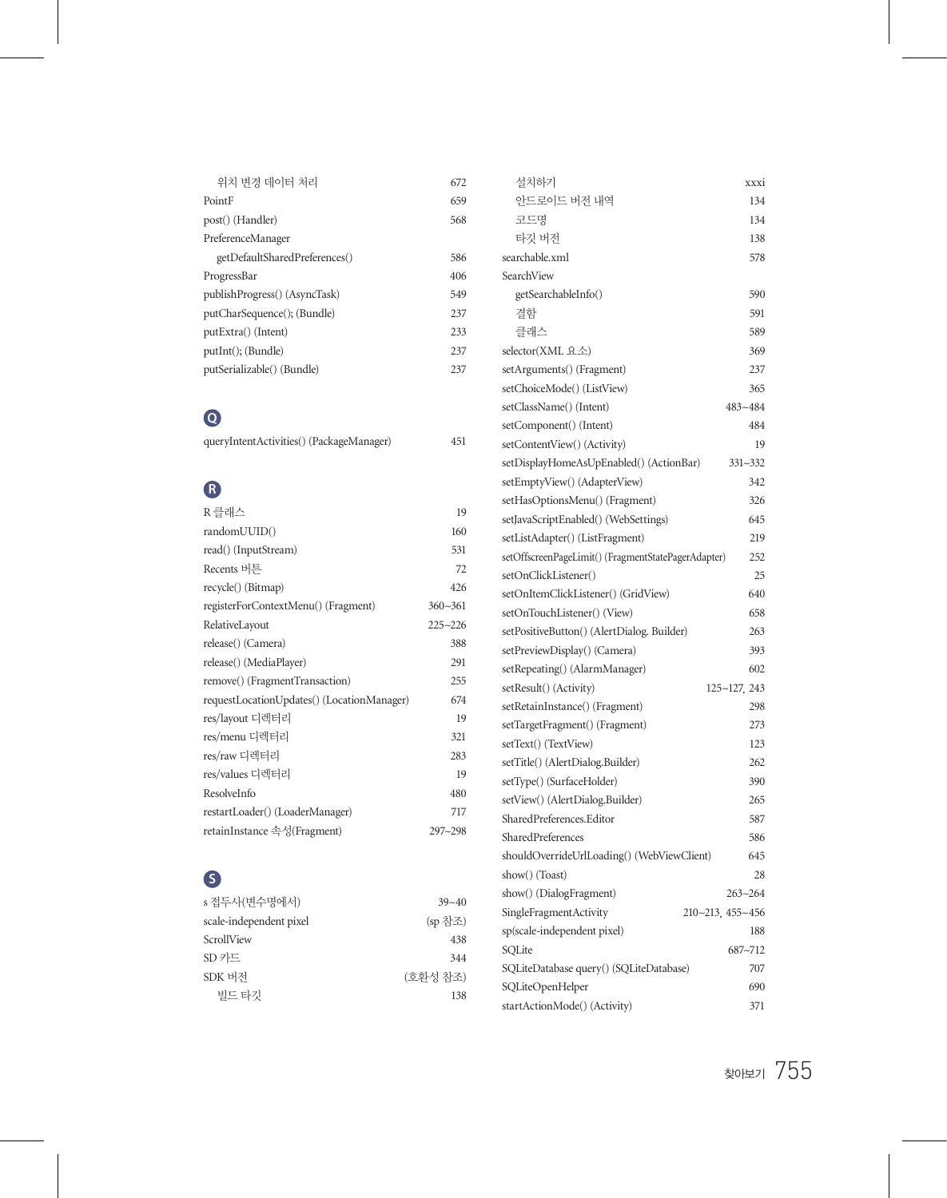| 위치 변경 데이터 처리                   | 672 |
|--------------------------------|-----|
| PointF                         | 659 |
| post() (Handler)               | 568 |
| PreferenceManager              |     |
| getDefaultSharedPreferences()  | 586 |
| ProgressBar                    | 406 |
| publish Progress() (AsyncTask) | 549 |
| putCharSequence(); (Bundle)    | 237 |
| put Extra() (Intent)           | 233 |
| putInt(); (Bundle)             | 237 |
| putSerializable() (Bundle)     | 237 |

# **Q**

| queryIntentActivities() (PackageManager) | 451 |
|------------------------------------------|-----|
|                                          |     |

# **R**

| R 클래스                                      | 19          |
|--------------------------------------------|-------------|
| randomUUID()                               | 160         |
| read() (InputStream)                       | 531         |
| Recents 버튼                                 | 72          |
| recycle() (Bitmap)                         | 426         |
| registerForContextMenu() (Fragment)        | $360 - 361$ |
| RelativeLayout                             | $225 - 226$ |
| release() (Camera)                         | 388         |
| release() (MediaPlayer)                    | 291         |
| remove() (FragmentTransaction)             | 255         |
| requestLocationUpdates() (LocationManager) | 674         |
| res/lavout 디렉터리                            | 19          |
| res/menu 디렉터리                              | 321         |
| res/raw 디렉터리                               | 283         |
| res/values 디렉터리                            | 19          |
| ResolveInfo                                | 480         |
| restartLoader() (LoaderManager)            | 717         |
| retainInstance 속성(Fragment)                | 297~298     |

# **S**

| s 접두사(변수명에서)            | $39 - 40$ |
|-------------------------|-----------|
| scale-independent pixel | (sp 참조)   |
| ScrollView              | 438       |
| SD카드                    | 344       |
| SDK 버저                  | (호화성 참조)  |
| 빌드 타깃                   | 138       |

| 설치하기                                                | xxxi             |
|-----------------------------------------------------|------------------|
| 안드로이드 버전 내역                                         | 134              |
| 코드명                                                 | 134              |
| 타깃 버전                                               | 138              |
| searchable.xml                                      | 578              |
| SearchView                                          |                  |
| getSearchableInfo()                                 | 590              |
| 결함                                                  | 591              |
| 클래스                                                 | 589              |
| selector(XML 요소)                                    | 369              |
| setArguments() (Fragment)                           | 237              |
| setChoiceMode() (ListView)                          | 365              |
| setClassName() (Intent)                             | $483 - 484$      |
| setComponent() (Intent)                             | 484              |
| setContentView() (Activity)                         | 19               |
| setDisplayHomeAsUpEnabled() (ActionBar)             | 331~332          |
| setEmptyView() (AdapterView)                        | 342              |
| setHasOptionsMenu() (Fragment)                      | 326              |
| setJavaScriptEnabled() (WebSettings)                | 645              |
| setListAdapter() (ListFragment)                     | 219              |
| setOffscreenPageLimit() (FragmentStatePagerAdapter) | 252              |
| setOnClickListener()                                | 25               |
| setOnItemClickListener() (GridView)                 | 640              |
| setOnTouchListener() (View)                         | 658              |
| setPositiveButton() (AlertDialog. Builder)          | 263              |
| setPreviewDisplay() (Camera)                        | 393              |
| setRepeating() (AlarmManager)                       | 602              |
| setResult() (Activity)                              | 125~127, 243     |
| setRetainInstance() (Fragment)                      | 298              |
| setTargetFragment() (Fragment)                      | 273              |
| setText() (TextView)                                | 123              |
| setTitle() (AlertDialog.Builder)                    | 262              |
| setType() (SurfaceHolder)                           | 390              |
| setView() (AlertDialog.Builder)                     | 265              |
| SharedPreferences.Editor                            | 587              |
| SharedPreferences                                   | 586              |
| shouldOverrideUrlLoading() (WebViewClient)          | 645              |
| show() (Toast)                                      | 28               |
| show() (DialogFragment)                             | 263~264          |
| SingleFragmentActivity                              | 210~213, 455~456 |
| sp(scale-independent pixel)                         | 188              |
| SQLite                                              | 687~712          |
| SQLiteDatabase query() (SQLiteDatabase)             | 707              |
| SQLiteOpenHelper                                    | 690              |
| startActionMode() (Activity)                        | 371              |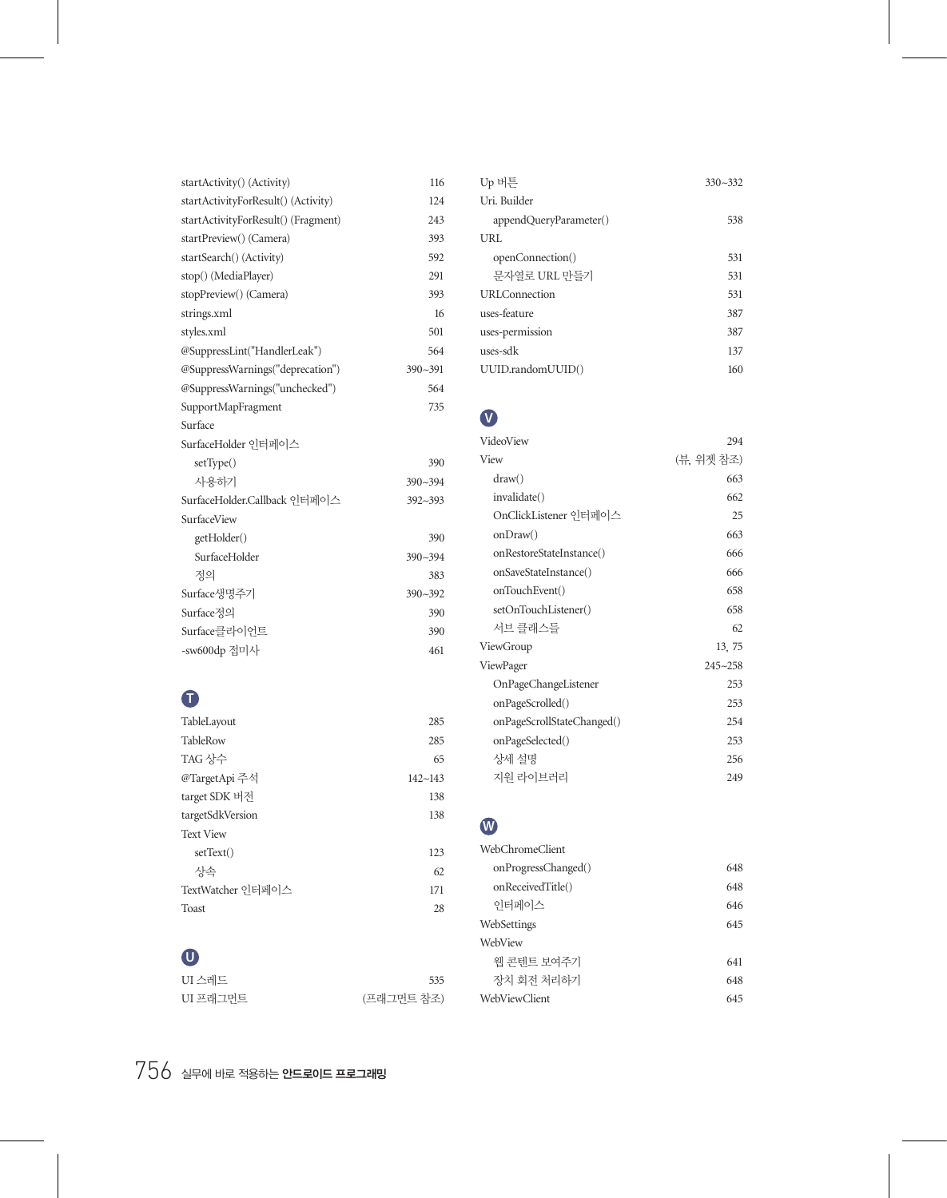| startActivity() (Activity)          | 116         |
|-------------------------------------|-------------|
| startActivityForResult() (Activity) | 124         |
| startActivityForResult() (Fragment) | 243         |
| startPreview() (Camera)             | 393         |
| startSearch() (Activity)            | 592         |
| stop() (MediaPlayer)                | 291         |
| stopPreview() (Camera)              | 393         |
| strings.xml                         | 16          |
| styles.xml                          | 501         |
| @SuppressLint("HandlerLeak")        | 564         |
| @SuppressWarnings("deprecation")    | 390~391     |
| @SuppressWarnings("unchecked")      | 564         |
| SupportMapFragment                  | 735         |
| Surface                             |             |
| SurfaceHolder 인터페이스                 |             |
| setType()                           | 390         |
| 사용하기                                | $390 - 394$ |
| SurfaceHolder.Callback 이터페이스        | $392 - 393$ |
| SurfaceView                         |             |
| getHolder()                         | 390         |
| SurfaceHolder                       | $390 - 394$ |
| 것의                                  | 383         |
| Surface생명주기                         | $390 - 392$ |
| Surface정의                           | 390         |
| Surface클라이어트                        | 390         |
| -sw600dp 접미사                        | 461         |

## **T**

| TableLayout       | 285         |
|-------------------|-------------|
| TableRow          | 285         |
| TAG 상수            | 65          |
| @TargetApi 주석     | $142 - 143$ |
| target SDK 버전     | 138         |
| targetSdkVersion  | 138         |
| <b>Text View</b>  |             |
| setText()         | 123         |
| 상속                | 62          |
| TextWatcher 인터페이스 | 171         |
| Toast             | 28          |

### **U**

| UI 스레드   | 535        |
|----------|------------|
| UI 프래그먼트 | (프래그먼트 참조) |

| Up 버튼                  | $330 - 332$ |
|------------------------|-------------|
| Uri. Builder           |             |
| appendQueryParameter() | 538         |
| URL                    |             |
| openConnection()       | 531         |
| 문자열로 URL 만들기           | 531         |
| <b>URLConnection</b>   | 531         |
| uses-feature           | 387         |
| uses-permission        | 387         |
| uses-sdk               | 137         |
| UUID.randomUUID()      | 160         |

#### **V**

| VideoView                  | 294         |
|----------------------------|-------------|
| View                       | (뷰. 위젯 참조)  |
| draw()                     | 663         |
| invalidate()               | 662         |
| OnClickListener 인터페이스      | 25          |
| onDraw()                   | 663         |
| onRestoreStateInstance()   | 666         |
| onSaveStateInstance()      | 666         |
| onTouchEvent()             | 658         |
| setOnTouchListener()       | 658         |
| 서브 클래스들                    | 62          |
| ViewGroup                  | 13, 75      |
| ViewPager                  | $245 - 258$ |
| OnPageChangeListener       | 253         |
| onPageScrolled()           | 253         |
| onPageScrollStateChanged() | 254         |
| onPageSelected()           | 253         |
| 상세 설명                      | 256         |
| 지워 라이브러리                   | 249         |

## **W**

| 648 |
|-----|
| 648 |
| 646 |
| 645 |
|     |
| 641 |
| 648 |
| 645 |
|     |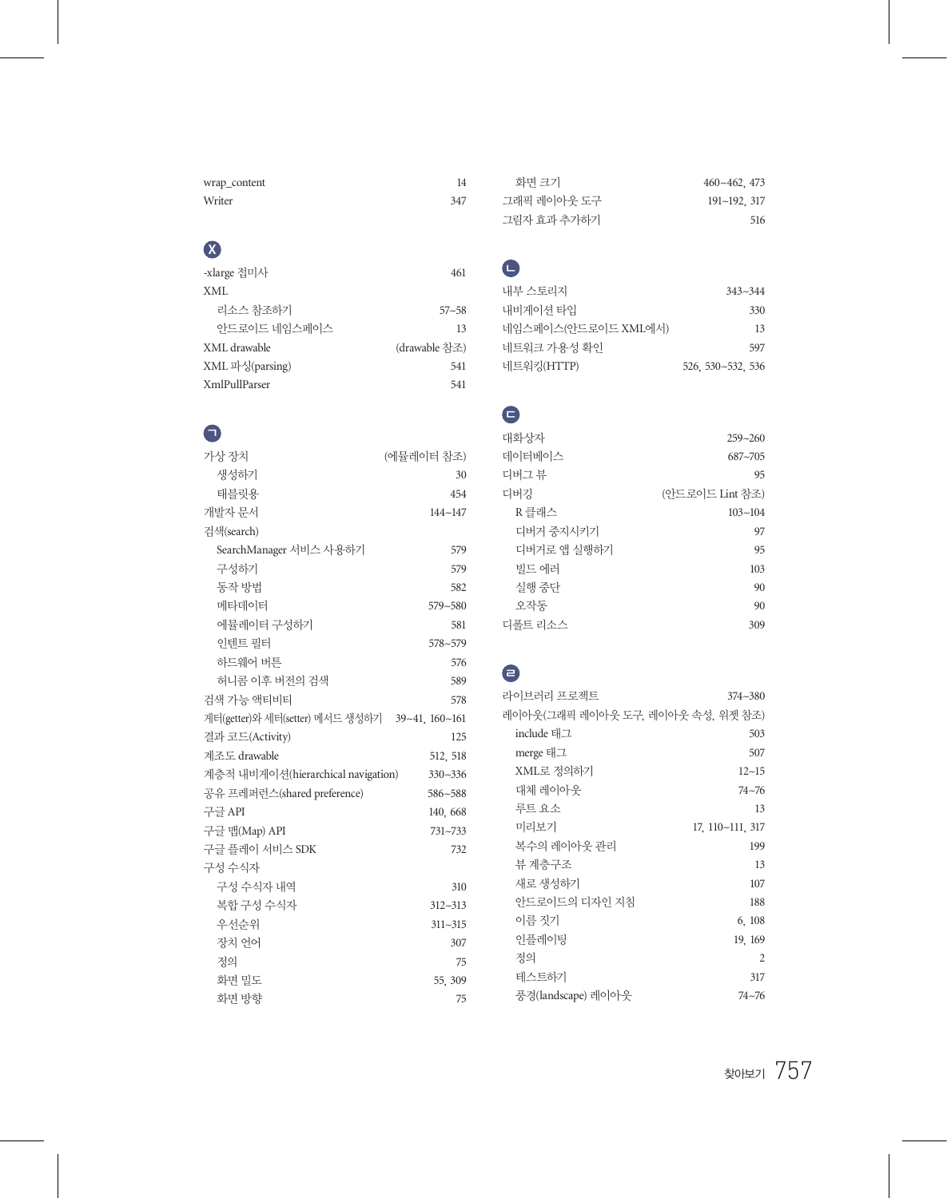| wrap_content | 14  |
|--------------|-----|
| Writer       | 347 |

# **X**

| -xlarge 접미사     | 461           |
|-----------------|---------------|
| XML             |               |
| 리소스 참조하기        | $57 - 58$     |
| 아드로이드 네임스페이스    | 13            |
| XML drawable    | (drawable 참조) |
| XML 파싱(parsing) | 541           |
| XmlPullParser   | 541           |

## $\bullet$

| 가상 장치                                          | (에뮬레이터 참조)  |
|------------------------------------------------|-------------|
| 생성하기                                           | 30          |
| 태블릿용                                           | 454         |
| 개발자 문서                                         | $144 - 147$ |
| 검색(search)                                     |             |
| SearchManager 서비스 사용하기                         | 579         |
| 구성하기                                           | 579         |
| 동작 방법                                          | 582         |
| 메타데이터                                          | 579~580     |
| 에뮬레이터 구성하기                                     | 581         |
| 인텐트 필터                                         | 578~579     |
| 하드웨어 버튼                                        | 576         |
| 허니콤 이후 버전의 검색                                  | 589         |
| 검색 가능 액티비티                                     | 578         |
| 게터(getter)와 세터(setter) 메서드 생성하기 39~41, 160~161 |             |
| 결과 코드(Activity)                                | 125         |
| 계조도 drawable                                   | 512, 518    |
| 계층적 내비게이션(hierarchical navigation)             | $330 - 336$ |
| 공유 프레퍼런스(shared preference)                    | 586~588     |
| 구글 API                                         | 140, 668    |
| 구글 맵(Map) API                                  | 731~733     |
| 구글 플레이 서비스 SDK                                 | 732         |
| 구성 수식자                                         |             |
| 구성 수식자 내역                                      | 310         |
| 복합 구성 수식자                                      | 312~313     |
| 우선수위                                           | $311 - 315$ |
| 장치 언어                                          | 307         |
| 것의                                             | 75          |
| 화면 밀도                                          | 55, 309     |
| 화면 방향                                          | 75          |

| 화면 크기       | $460 - 462$ , 473    |
|-------------|----------------------|
| 그래픽 레이아웃 도구 | $191 \sim 192$ , 317 |
| 그림자 효과 추가하기 | 516                  |

# $\bullet$

| 내부 스토리지             | $343 - 344$       |
|---------------------|-------------------|
| 내비게이셔 타입            | 330               |
| 네임스페이스(안드로이드 XML에서) | 13                |
| 네트워크 가용성 확인         | 597               |
| 네트워킹(HTTP)          | 526, 530~532, 536 |

# ㄷ

| 대화상자        | $259 - 260$     |
|-------------|-----------------|
| 데이터베이스      | $687 - 705$     |
| 디버그 뷰       | 95              |
| 디버깅         | (안드로이드 Lint 참조) |
| R 클래스       | $103 - 104$     |
| 디버거 중지시키기   | 97              |
| 디버거로 앱 실행하기 | 95              |
| 빌드 에러       | 103             |
| 실행 중다       | 90              |
| 오작동         | 90              |
| 디폴트 리소스     | 309             |

# ㄹ

| 라이브러리 프로젝트                        | $374 - 380$      |
|-----------------------------------|------------------|
| 레이아웃(그래픽 레이아웃 도구, 레이아웃 속성, 위젯 참조) |                  |
| include 태그                        | 503              |
| merge 태그                          | 507              |
| XML로 정의하기                         | $12 - 15$        |
| 대체 레이아웃                           | 74~76            |
| 루트 요소                             | 13               |
| 미리보기                              | 17, 110~111, 317 |
| 복수의 레이아웃 관리                       | 199              |
| 뷰 계층구조                            | 13               |
| 새로 생성하기                           | 107              |
| 안드로이드의 디자인 지침                     | 188              |
| 이름 짓기                             | 6, 108           |
| 인플레이팅                             | 19, 169          |
| 정의                                | 2                |
| 테스트하기                             | 317              |
| 풍경(landscape) 레이아웃                | $74 - 76$        |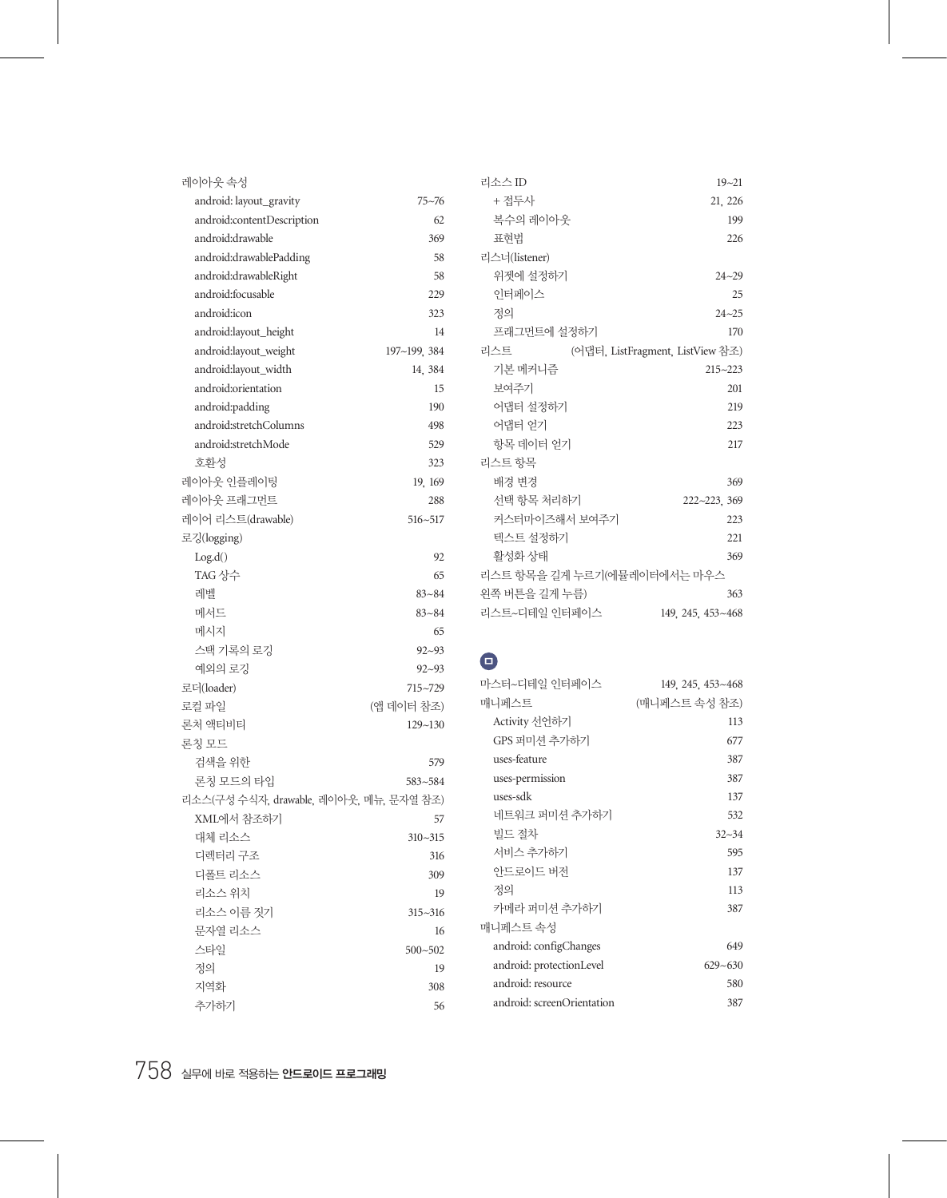| 레이아웃 속성                                 |             | 리소             |
|-----------------------------------------|-------------|----------------|
| android: layout_gravity                 | $75 - 76$   | $^{+}$         |
| android:contentDescription              | 62          | 노              |
| android:drawable                        | 369         | Ŧ              |
| android:drawablePadding                 | 58          | 리스             |
| android:drawableRight                   | 58          | $\frac{1}{2}$  |
| android:focusable                       | 229         | $\frac{1}{2}$  |
| android:icon                            | 323         | ろ              |
| android:layout_height                   | 14          | Ξ              |
| android:layout_weight                   | 197~199.384 | 리스             |
| android:layout_width                    | 14, 384     | $\overline{z}$ |
| android:orientation                     | 15          | 上              |
| android:padding                         | 190         | Ò              |
| android:stretchColumns                  | 498         | Ò              |
| android:stretchMode                     | 529         | है             |
| 호환성                                     | 323         | 리스             |
| 레이아웃 인플레이팅                              | 19, 169     | 비              |
| 레이아웃 프래그먼트                              | 288         | 소              |
| 레이어 리스트(drawable)                       | 516~517     | $\overline{z}$ |
| 로깅(logging)                             |             | 터              |
| Log.d()                                 | 92          | 혹              |
| TAG 상수                                  | 65          | 리스             |
| 레벨                                      | $83 - 84$   | 왼쪽             |
| 메서드                                     | $83 - 84$   | 리스             |
| 메시지                                     | 65          |                |
| 스택 기록의 로깅                               | $92 - 93$   |                |
| 예외의 로깅                                  | $92 - 93$   | Θ              |
| 로더(loader)                              | 715~729     | 마스             |
| 로컬 파일                                   | (앱 데이터 참조)  | 매니             |
| 론처 액티비티                                 | $129 - 130$ | Α              |
| 론칭 모드                                   |             | G              |
| 검색을 위한                                  | 579         | u              |
| 론칭 모드의 타입                               | 583~584     | u              |
| 리소스(구성 수식자, drawable, 레이아웃, 메뉴, 문자열 참조) |             | u              |
| XML에서 참조하기                              | 57          | 너              |
| 대체 리소스                                  | $310 - 315$ | 빝              |
| 디렉터리 구조                                 | 316         | 亽              |
| 디폴트 리소스                                 | 309         | $\overline{Q}$ |
| 리소스 위치                                  | 19          | 정              |
| 리소스 이름 짓기                               | $315 - 316$ | ヺ              |
| 뮤자열 리소스                                 | 16          | 매니             |
| 스타일                                     | $500 - 502$ | a              |
| 정의                                      | 19          | a1             |
| 지역화                                     | 308         | a1             |
| 추가하기                                    | 56          | a1             |
|                                         |             |                |

| 리소스 ID                                  | $19 - 21$         |
|-----------------------------------------|-------------------|
| + 접두사                                   | 21, 226           |
| 복수의 레이아웃                                | 199               |
| 표현법                                     | 226               |
| 리스너(listener)                           |                   |
| 위젯에 설정하기                                | $24 - 29$         |
| 이터페이스                                   | 25                |
| 것의                                      | $24 - 25$         |
| 프래그먼트에 설정하기                             | 170               |
| 리스트<br>(어댑터, ListFragment, ListView 참조) |                   |
| 기본 메커니즘                                 | $215 - 223$       |
| 보여주기                                    | 201               |
| 어댑터 설정하기                                | 219               |
| 어댑터 얻기                                  | 223               |
| 항목 데이터 얻기                               | 217               |
| 리스트 항목                                  |                   |
| 배경 변경                                   | 369               |
| 선택 항목 처리하기                              | 222~223, 369      |
| 커스터마이즈해서 보여주기                           | 223               |
| 텍스트 설정하기                                | 221               |
| 활성화 상태                                  | 369               |
| 리스트 항목을 길게 누르기(에뮬레이터에서는 마우스             |                   |
| 왼쪽 버튼을 길게 누름)                           | 363               |
| 리스트~디테일 인터페이스                           | 149, 245, 453~468 |

| 마스터~디테일 이터페이스              | 149, 245, 453~468 |
|----------------------------|-------------------|
| 매니페스트                      | (매니페스트 속성 참조)     |
| Activity 선언하기              | 113               |
| GPS 퍼미션 추가하기               | 677               |
| uses-feature               | 387               |
| uses-permission            | 387               |
| uses-sdk                   | 137               |
| 네트워크 퍼미션 추가하기              | 532               |
| 빌드 절차                      | $32 - 34$         |
| 서비스 추가하기                   | 595               |
| 아드로이드 버저                   | 137               |
| 정의                         | 113               |
| 카메라 퍼미션 추가하기               | 387               |
| 매니페스트 속성                   |                   |
| android: configChanges     | 649               |
| android: protectionLevel   | $629 - 630$       |
| android: resource          | 580               |
| android: screenOrientation | 387               |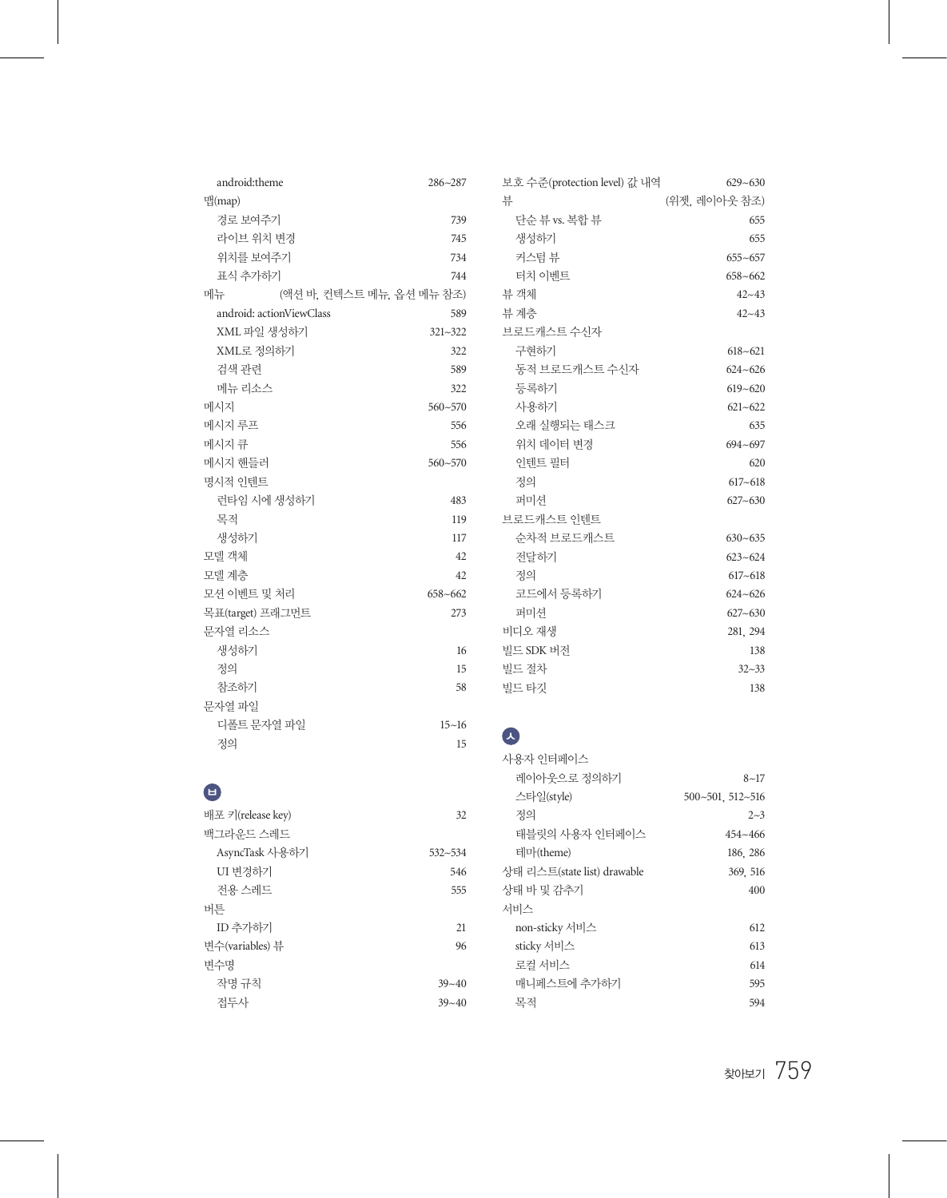| android:theme     |                          | 286~287                   | 보호 수준(protection level) 값 내역       | $629 - 630$      |
|-------------------|--------------------------|---------------------------|------------------------------------|------------------|
| 맵(map)            |                          |                           | 뷰                                  | (위젯, 레이아웃 참조)    |
| 경로 보여주기           |                          | 739                       | 단순 뷰 vs. 복합 뷰                      | 655              |
| 라이브 위치 변경         |                          | 745                       | 생성하기                               | 655              |
| 위치를 보여주기          |                          | 734                       | 커스텀 뷰                              | $655 - 657$      |
| 표식 추가하기           |                          | 744                       | 터치 이벤트                             | $658 - 662$      |
| 메뉴                |                          | (액션 바, 컨텍스트 메뉴, 옵션 메뉴 참조) | 뷰 객체                               | $42 - 43$        |
|                   | android: actionViewClass | 589                       | 뷰 계층                               | $42 - 43$        |
| XML 파일 생성하기       |                          | 321~322                   | 브로드캐스트 수신자                         |                  |
| XML로 정의하기         |                          | 322                       | 구현하기                               | $618 - 621$      |
| 검색 관련             |                          | 589                       | 동적 브로드캐스트 수신자                      | $624 - 626$      |
| 메뉴 리소스            |                          | 322                       | 등록하기                               | $619 - 620$      |
| 메시지               |                          | $560 - 570$               | 사용하기                               | $621 - 622$      |
| 메시지 루프            |                          | 556                       | 오래 실행되는 태스크                        | 635              |
| 메시지 큐             |                          | 556                       | 위치 데이터 변경                          | $694 - 697$      |
| 메시지 핸들러           |                          | $560 - 570$               | 인텐트 필터                             | 620              |
| 명시적 인텐트           |                          |                           | 정의                                 | $617 - 618$      |
| 런타임 시에 생성하기       |                          | 483                       | 퍼미셔                                | $627 - 630$      |
| 목적                |                          | 119                       | 브로드캐스트 인텐트                         |                  |
| 생성하기              |                          | 117                       | 순차적 브로드캐스트                         | $630 - 635$      |
| 모델 객체             |                          | 42                        | 전달하기                               | $623 - 624$      |
| 모델 계층             |                          | 42                        | 정의                                 | $617 - 618$      |
| 모션 이벤트 및 처리       |                          | $658 - 662$               | 코드에서 등록하기                          | $624 - 626$      |
| 목표(target) 프래그먼트  |                          | 273                       | 퍼미션                                | $627 - 630$      |
| 문자열 리소스           |                          |                           | 비디오 재생                             | 281, 294         |
| 생성하기              |                          | 16                        | 빌드 SDK 버전                          | 138              |
| 정의                |                          | 15                        | 빌드 절차                              | $32 - 33$        |
| 참조하기              |                          | 58                        | 빌드 타깃                              | 138              |
| 문자열 파일            |                          |                           |                                    |                  |
| 디폴트 문자열 파일        |                          | $15 - 16$                 |                                    |                  |
| 정의                |                          | 15                        | $\left  \mathcal{K} \right\rangle$ |                  |
|                   |                          |                           | 사용자 인터페이스                          |                  |
|                   |                          |                           | 레이아웃으로 정의하기                        | $8 - 17$         |
| O                 |                          |                           | 스타일(style)                         | 500~501, 512~516 |
| 배포 키(release key) |                          | 32                        | 정의                                 | $2 - 3$          |
| 백그라운드 스레드         |                          |                           | 태블릿의 사용자 인터페이스                     | 454~466          |
| AsyncTask 사용하기    |                          | 532~534                   | 테마(theme)                          | 186, 286         |
| UI 변경하기           |                          | 546                       | 상태 리스트(state list) drawable        | 369, 516         |
| 전용 스레드            |                          | 555                       | 상태 바 및 감추기                         | 400              |
| 버튼                |                          |                           | 서비스                                |                  |
| ID 추가하기           |                          | 21                        | non-sticky 서비스                     | 612              |
| 변수(variables) 뷰   |                          | 96                        | sticky 서비스                         | 613              |
| 변수명               |                          |                           | 로컬 서비스                             | 614              |
| 작명 규칙             |                          | $39 - 40$                 | 매니페스트에 추가하기                        | 595              |

접두사 39~40

목적 594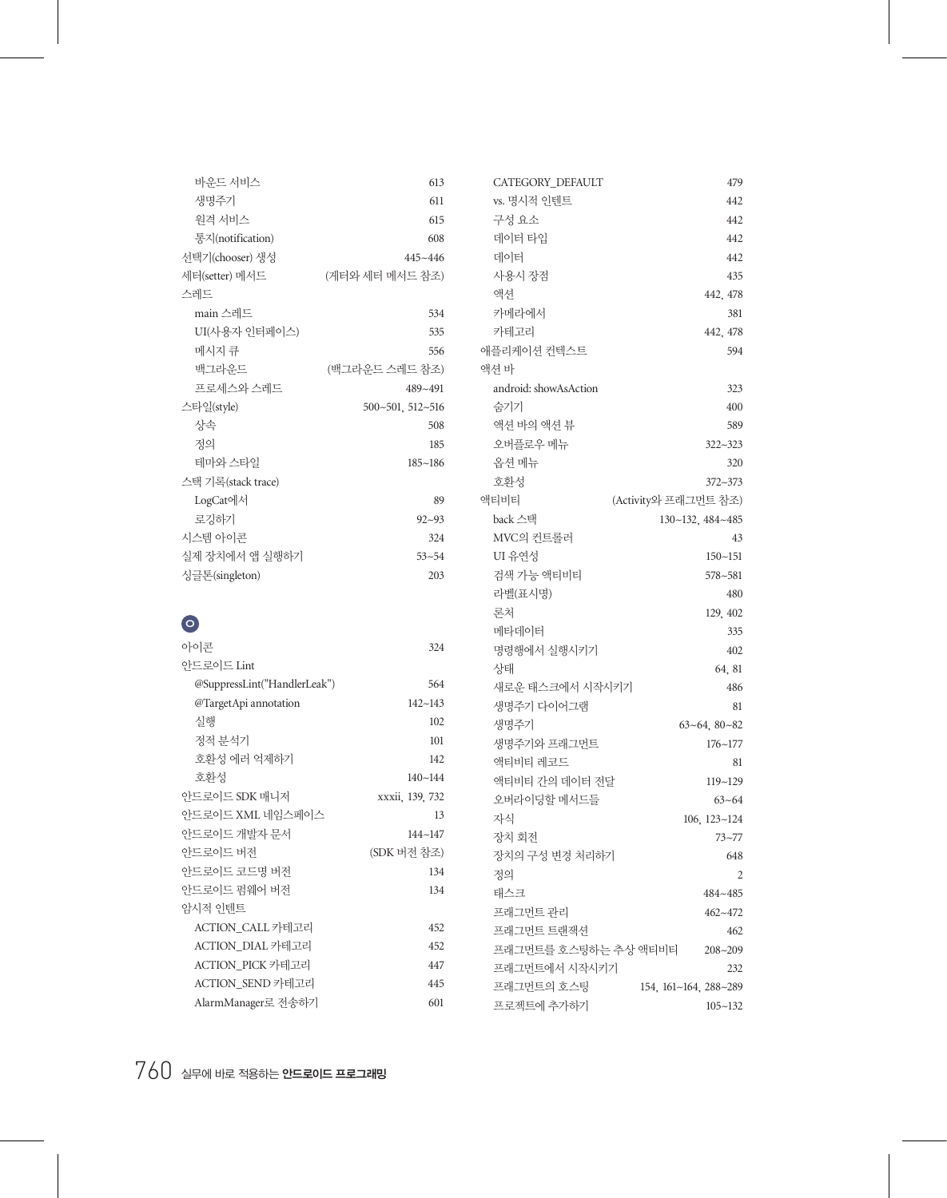| 바운드 서비스            | 613              |
|--------------------|------------------|
| 생명주기               | 611              |
| 워격 서비스             | 615              |
| 통지(notification)   | 608              |
| 선택기(chooser) 생성    | $445 - 446$      |
| 세터(setter) 메서드     | (게터와 세터 메서드 참조)  |
| 스레드                |                  |
| main 스레드           | 534              |
| UI(사용자 인터페이스)      | 535              |
| 메시지 큐              | 556              |
| 백그라우드              | (백그라운드 스레드 참조)   |
| 프로세스와 스레드          | 489~491          |
| 스타일(style)         | 500~501, 512~516 |
| 상속                 | 508              |
| 것의                 | 185              |
| 테마와 스타일            | $185 - 186$      |
| 스택 기록(stack trace) |                  |
| LogCat에서           | 89               |
| 로깃하기               | $92 - 93$        |
| 시스템 아이콘            | 324              |
| 실제 장치에서 앱 실행하기     | $53 - 54$        |
| 싱글톤(singleton)     | 203              |
|                    |                  |

## $\bullet$

| 아이콘                          | 324             |
|------------------------------|-----------------|
| 아드로이드 Lint                   |                 |
| @SuppressLint("HandlerLeak") | 564             |
| @TargetApi annotation        | $142 - 143$     |
| 실행                           | 102             |
| 정적 부석기                       | 101             |
| 호환성 에러 억제하기                  | 142             |
| 호화성                          | $140 - 144$     |
| 안드로이드 SDK 매니저                | xxxii, 139, 732 |
| 아드로이드 XML 네임스페이스             | 13              |
| 안드로이드 개발자 문서                 | $144 - 147$     |
| 아드로이드 버전                     | (SDK 버전 참조)     |
| 안드로이드 코드명 버전                 | 134             |
| 안드로이드 펌웨어 버전                 | 134             |
| 암시적 이테트                      |                 |
| ACTION CALL 카테고리             | 452             |
| ACTION DIAL 카테고리             | 452             |
| ACTION PICK 카테고리             | 447             |
| ACTION SEND 카테고리             | 445             |
| AlarmManager로 전송하기           | 601             |

| 3                        | CATEGORY DEFAULT      | 479                   |
|--------------------------|-----------------------|-----------------------|
| l                        | vs. 명시적 인텐트           | 442                   |
| $\overline{5}$           | 구성요소                  | 442                   |
| 3                        | 데이터 타입                | 442                   |
| 5                        | 데이터                   | 442                   |
| )                        | 사용시 장점                | 435                   |
|                          | 액셔                    | 442, 478              |
| į                        | 카메라에서                 | 381                   |
| $\overline{5}$           | 카테고리                  | 442, 478              |
| 5                        | 애플리케이션 컨텍스트           | 594                   |
| )                        | 액셔 바                  |                       |
| L                        | android: showAsAction | 323                   |
| 5                        | 숨기기                   | 400                   |
| 3                        | 액션 바의 액션 뷰            | 589                   |
| $\overline{5}$           | 오버플로우 메뉴              | 322~323               |
| 5                        | 옵션 메뉴                 | 320                   |
|                          | 호환성                   | 372~373               |
| €                        | <b>애티비티</b>           | (Activity와 프래그먼트 참조)  |
| 3                        | back 스택               | 130~132, 484~485      |
| į                        | MVC의 컨트롤러             | 43                    |
| į                        | UI 유연성                | $150 - 151$           |
| 3                        | 검색 가능 액티비티            | $578 - 581$           |
|                          | 라벨(표시명)               | 480                   |
|                          | 로처                    | 129, 402              |
|                          | 메타데이터                 | 335                   |
| į                        | 명령행에서 실행시키기           | 402                   |
|                          | 상태                    | 64, 81                |
| $\ddagger$               | 새로운 태스크에서 시작시키기       | 486                   |
| 3                        | 생명주기 다이어그램            | 81                    |
| $\overline{c}$           | 생명주기                  | $63 - 64$ , $80 - 82$ |
|                          | 생명주기와 프래그먼트           | $176 - 177$           |
| $\overline{c}$           | 액티비티 레코드              | 81                    |
| $\ddagger$               | 액티비티 가의 데이터 전달        | 119~129               |
| $\overline{c}$           | 오버라이딩할 메서드들           | $63 - 64$             |
| 3                        | 자식                    | $106, 123 - 124$      |
| 7                        | 장치 회전                 | $73 - 77$             |
| )                        | 장치의 구성 변경 처리하기        | 648                   |
| $\ddagger$               | 정의                    | 2                     |
| 1                        | 태스크                   | 484~485               |
|                          | 프래그먼트 관리              | $462 - 472$           |
| $\overline{\phantom{a}}$ | 프래그먼트 트래잭셔            | 462                   |
| $\overline{c}$           | 프래그먼트를 호스팅하는 추상 액티비티  | $208 - 209$           |
| 7                        | 프래그먼트에서 시작시키기         | 232                   |
| $\overline{5}$           | 프래그먼트의 호스팅            | 154, 161~164, 288~289 |
|                          | 프로젝트에 추가하기            | $105 - 132$           |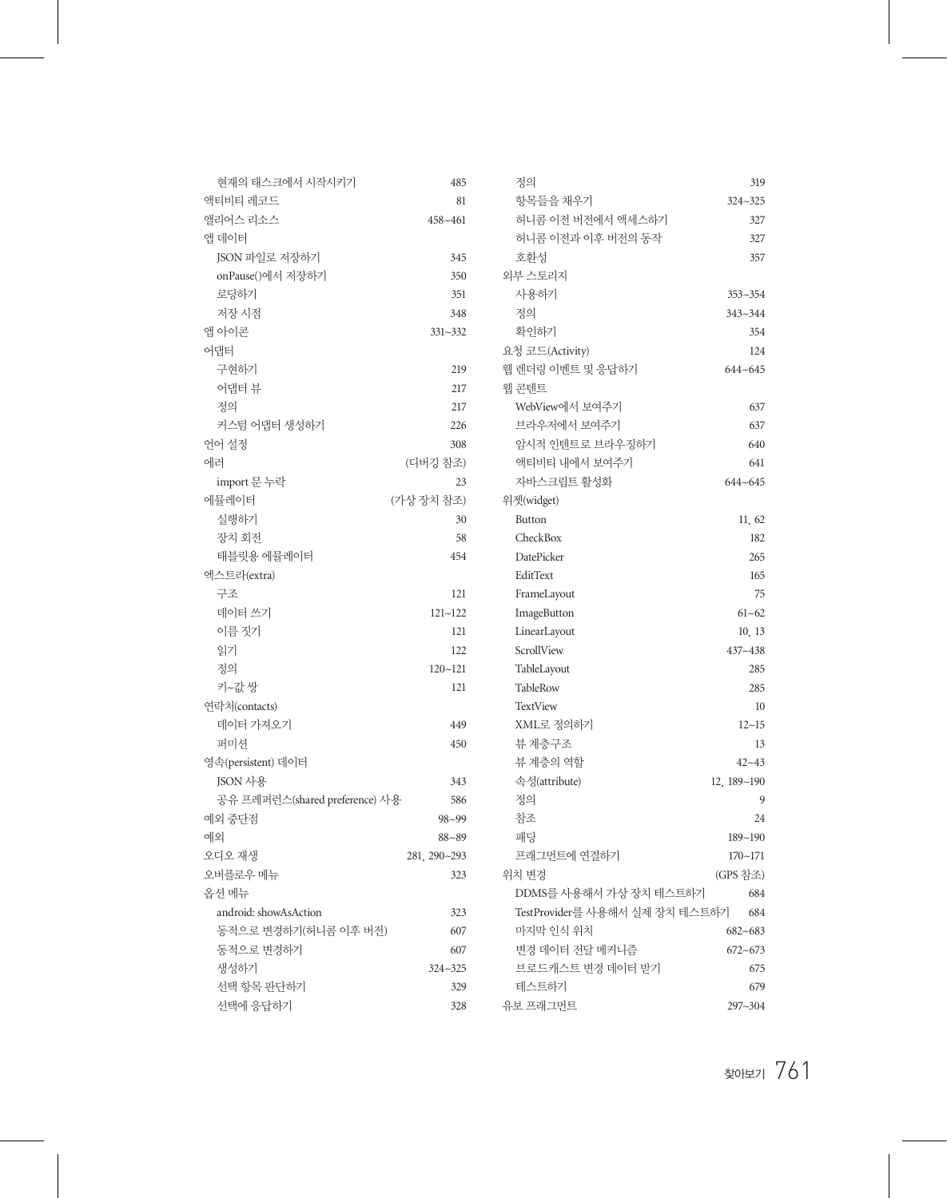| 현재의 태스크에서 시작시키기                | 485          | 정의                             | 319         |
|--------------------------------|--------------|--------------------------------|-------------|
| 액티비티 레코드                       | 81           | 항목들을 채우기                       | 324~325     |
| 앨리어스 리소스                       | 458~461      | 허니콤 이전 버전에서 액세스하기              | 327         |
| 앱 데이터                          |              | 허니콤 이전과 이후 버전의 동작              | 327         |
| JSON 파일로 저장하기                  | 345          | 호환성                            | 357         |
| onPause()에서 저장하기               | 350          | 외부 스토리지                        |             |
| 로딩하기                           | 351          | 사용하기                           | $353 - 354$ |
| 저장 시점                          | 348          | 정의                             | 343~344     |
| 앱 아이콘                          | $331 - 332$  | 확인하기                           | 354         |
| 어댑터                            |              | 요청 코드(Activity)                | 124         |
| 구현하기                           | 219          | 웹 렌더링 이벤트 및 응답하기               | $644 - 645$ |
| 어댑터 뷰                          | 217          | 웹 콘텐트                          |             |
| 정의                             | 217          | WebView에서 보여주기                 | 637         |
| 커스텀 어댑터 생성하기                   | 226          | 브라우저에서 보여주기                    | 637         |
| 언어 설정                          | 308          | 암시적 인텐트로 브라우징하기                | 640         |
| 에러                             | (디버깅 참조)     | 액티비티 내에서 보여주기                  | 641         |
| import 문 누락                    | 23           | 자바스크립트 활성화                     | $644 - 645$ |
| 에뮬레이터                          | (가상 장치 참조)   | 위젯(widget)                     |             |
| 실행하기                           | 30           | <b>Button</b>                  | 11, 62      |
| 장치 회전                          | 58           | CheckBox                       | 182         |
| 태블릿용 에뮬레이터                     | 454          | DatePicker                     | 265         |
| 엑스트라(extra)                    |              | EditText                       | 165         |
| 구조                             | 121          | FrameLayout                    | 75          |
| 데이터 쓰기                         | $121 - 122$  | ImageButton                    | $61 - 62$   |
| 이름 짓기                          | 121          | LinearLayout                   | 10, 13      |
| 읽기                             | 122          | ScrollView                     | 437~438     |
| 정의                             | $120 - 121$  | TableLayout                    | 285         |
| 키~값 쌍                          | 121          | TableRow                       | 285         |
| 연락처(contacts)                  |              | TextView                       | 10          |
| 데이터 가져오기                       | 449          | XML로 정의하기                      | $12 - 15$   |
| 퍼미셔                            | 450          | 뷰 계층구조                         | 13          |
| 영속(persistent) 데이터             |              | 뷰 계층의 역할                       | $42 - 43$   |
| ISON 사용                        | 343          | 속성(attribute)                  | 12, 189~190 |
| 공유 프레퍼런스(shared preference) 사용 | 586          | 정의                             | 9           |
| 예외 중단점                         | $98 - 99$    | 참조                             | 24          |
| 예외                             | $88 - 89$    | 패딩                             | 189~190     |
| 오디오 재생                         | 281, 290~293 | 프래그먼트에 연결하기                    | $170 - 171$ |
| 오버플로우 메뉴                       | 323          | 위치 변경                          | (GPS 참조)    |
| 옵션 메뉴                          |              | DDMS를 사용해서 가상 장치 테스트하기         | 684         |
| android: showAsAction          | 323          | TestProvider를 사용해서 실제 장치 테스트하기 | 684         |
| 동적으로 변경하기(허니콤 이후 버전)           | 607          | 마지막 인식 위치                      | $682 - 683$ |
| 동적으로 변경하기                      | 607          | 변경 데이터 전달 메커니즘                 | $672 - 673$ |
| 생성하기                           | $324 - 325$  | 브로드캐스트 변경 데이터 받기               | 675         |
| 선택 항목 판단하기                     | 329          | 테스트하기                          | 679         |
| 선택에 응답하기                       | 328          | 유보 프래그먼트                       | 297~304     |
|                                |              |                                |             |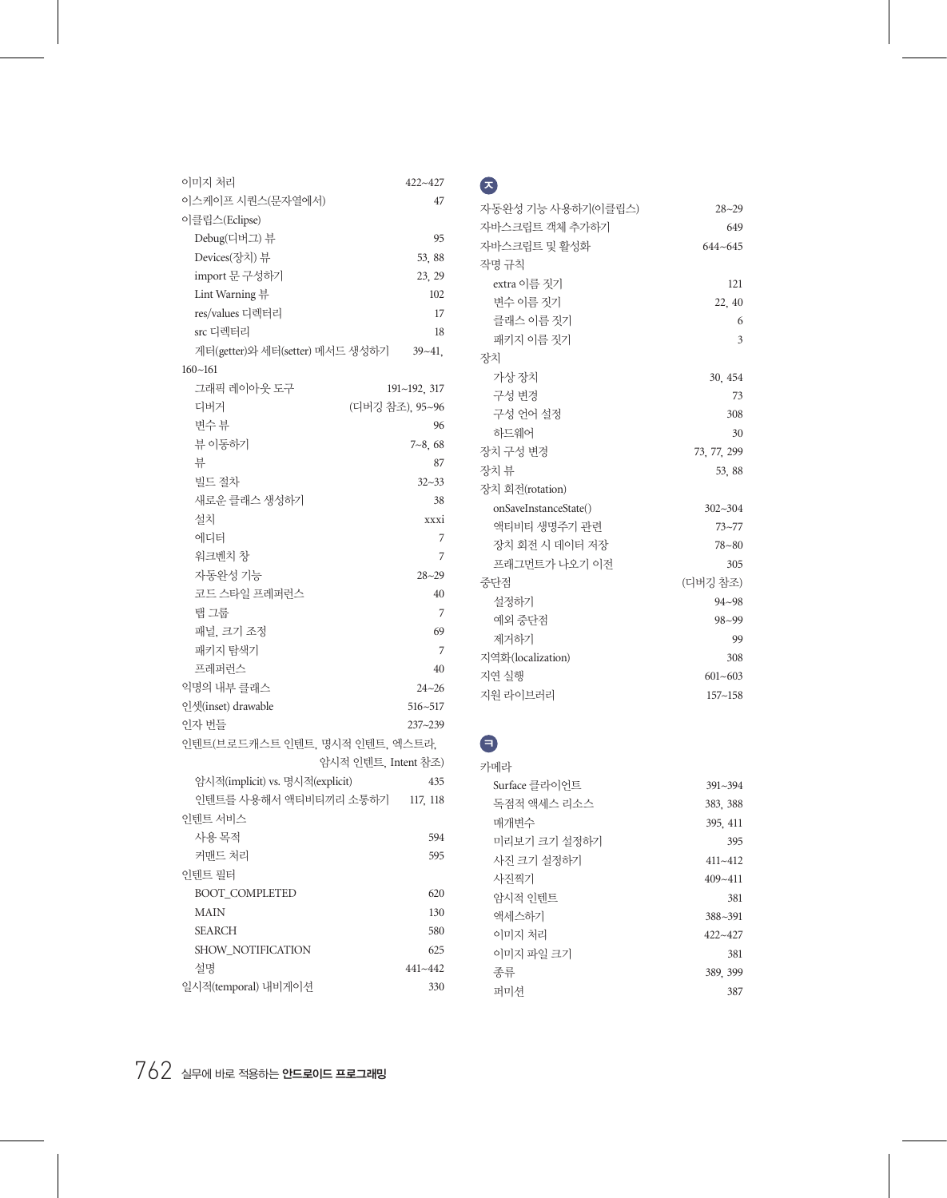| 이미지 처리                          | $422 - 427$     |
|---------------------------------|-----------------|
| 이스케이프 시쿼스(뮤자열에서)                | 47              |
| 이클립스(Eclipse)                   |                 |
| Debug(디버그) 뷰                    | 95              |
| Devices(장치) 뷰                   | 53.88           |
| import 문 구성하기                   | 23, 29          |
| Lint Warning <b>뷰</b>           | 102             |
| res/values 디렉터리                 | 17              |
| src 디렉터리                        | 18              |
| 게터(getter)와 세터(setter) 메서드 생성하기 | $39 - 41$ ,     |
| $160 - 161$                     |                 |
| 그래픽 레이아웃 도구                     | 191~192, 317    |
| 디버거                             | (디버깅 참조), 95~96 |
| 변수 뷰                            | 96              |
| 뷰 이동하기                          | $7 - 8,68$      |
| 뷰                               | 87              |
| 빌드 절차                           | $32 - 33$       |
| 새로운 클래스 생성하기                    | 38              |
| 설치                              | xxxi            |
| 에디터                             | 7               |
| 워크벤치 창                          | 7               |
| 자동완성 기능                         | $28 - 29$       |
| 코드 스타일 프레퍼런스                    | 40              |
| 탭 그룹                            | 7               |
| 패널, 크기 조정                       | 69              |
| 패키지 탐색기                         | 7               |
| 프레퍼런스                           | 40              |
| 익명의 내부 클래스                      | $24 - 26$       |
| 인셋(inset) drawable              | 516~517         |
| 인자 번들                           | 237~239         |
| 인텐트(브로드캐스트 인텐트, 명시적 인텐트, 엑스트라,  |                 |
| 암시적 인텐트. Intent 참조)             |                 |
| 암시적(implicit) vs. 명시적(explicit) | 435             |
| 이테트를 사용해서 액티비티끼리 소통하기           | 117, 118        |
| 인텐트 서비스                         |                 |
| 사용 목적                           | 594             |
| 커맨드 처리                          | 595             |
| 인텐트 필터                          |                 |
| <b>BOOT_COMPLETED</b>           | 620             |
| <b>MAIN</b>                     | 130             |
| <b>SEARCH</b>                   | 580             |
| SHOW_NOTIFICATION               | 625             |
| 설명                              | 441~442         |
| 일시적(temporal) 내비게이션             | 330             |

| I                   |
|---------------------|
| ٠<br>×<br>۰.<br>- 1 |

| 자동완성 기능 사용하기(이클립스)    | $28 - 29$   |
|-----------------------|-------------|
| 자바스크립트 객체 추가하기        | 649         |
| 자바스크립트 및 활성화          | $644 - 645$ |
| 작명 규칙                 |             |
| extra 이름 짓기           | 121         |
| 변수 이름 짓기              | 22, 40      |
| 클래스 이름 짓기             | 6           |
| 패키지 이름 짓기             | 3           |
| 장치                    |             |
| 가상장치                  | 30.454      |
| 구성 변경                 | 73          |
| 구성 어어 설정              | 308         |
| 하드웨어                  | 30          |
| 장치 구성 변경              | 73, 77, 299 |
| 장치 뷰                  | 53, 88      |
| 장치 회전(rotation)       |             |
| onSaveInstanceState() | $302 - 304$ |
| 액티비티 생명주기 관련          | $73 - 77$   |
| 장치 회전 시 데이터 저장        | $78 - 80$   |
| 프래그먼트가 나오기 이전         | 305         |
| 중다점                   | (디버깅 참조)    |
| 설정하기                  | $94 - 98$   |
| 예외 중다점                | $98 - 99$   |
| 제거하기                  | 99          |
| 지역화(localization)     | 308         |
| 지연 실행                 | $601 - 603$ |
| 지워 라이브러리              | $157 - 158$ |

#### $\bullet$

| 카메라           |             |
|---------------|-------------|
| Surface 클라이어트 | $391 - 394$ |
| 독점적 액세스 리소스   | 383, 388    |
| 매개변수          | 395, 411    |
| 미리보기 크기 설정하기  | 395         |
| 사진 크기 설정하기    | $411 - 412$ |
| 사진찍기          | $409 - 411$ |
| 암시적 이테트       | 381         |
| 액세스하기         | $388 - 391$ |
| 이미지 처리        | 422~427     |
| 이미지 파일 크기     | 381         |
| 종류            | 389, 399    |
| 퍼미셔           | 387         |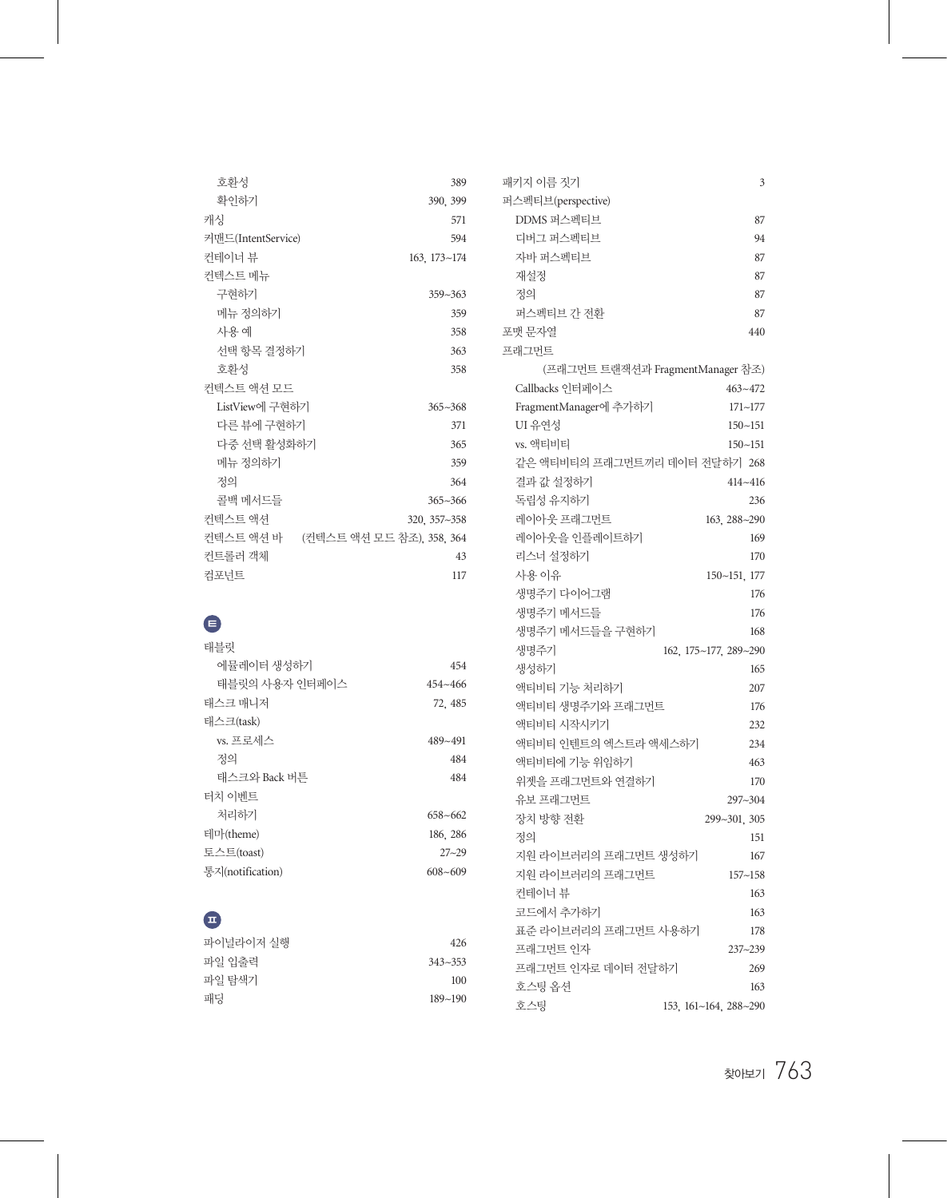| 호화성                               | 389          |
|-----------------------------------|--------------|
| 확인하기                              | 390, 399     |
| 캐싯                                | 571          |
| 커맨드(IntentService)                | 594          |
| 컨테이너 뷰                            | 163, 173~174 |
| 컨텍스트 메뉴                           |              |
| 구현하기                              | $359 - 363$  |
| 메뉴 정의하기                           | 359          |
| 사용예                               | 358          |
| 서택 항목 결정하기                        | 363          |
| 호화성                               | 358          |
| 커텍스트 액셔 모드                        |              |
| ListView에 구현하기                    | $365 - 368$  |
| 다른 뷰에 구현하기                        | 371          |
| 다중 서택 활성화하기                       | 365          |
| 메뉴 정의하기                           | 359          |
| 것의                                | 364          |
| 콜백 메서드들                           | $365 - 366$  |
| 커텍스트 액셔                           | 320, 357~358 |
| 컨텍스트 액션 바 (컨텍스트 액션 모드 참조) 358 364 |              |
| 커트롤러 갠체                           | 43           |
| 컥포너트                              | 117          |

## ㅌ

| 태블릿              |             |
|------------------|-------------|
| 에뮼레이터 생성하기       | 454         |
| 태블릿의 사용자 인터페이스   | $454 - 466$ |
| 태스크 매니저          | 72.485      |
| 태스크(task)        |             |
| vs. 프로세스         | 489~491     |
| 것의               | 484         |
| 태스크와 Back 버튼     | 484         |
| 터치 이베트           |             |
| 처리하기             | $658 - 662$ |
| 테마(theme)        | 186, 286    |
| 토스트(toast)       | $27 - 29$   |
| 통지(notification) | $608 - 609$ |

## ㅍ

| 파이널라이저 실행 | 426         |
|-----------|-------------|
| 파일 입출력    | $343 - 353$ |
| 파일 탐색기    | 100         |
| 패딩        | $189 - 190$ |
|           |             |

| 패키지 이름 짓기                     | 3                                |
|-------------------------------|----------------------------------|
| 퍼스펙티브(perspective)            |                                  |
| DDMS 퍼스펙티브                    | 87                               |
| 디버그 퍼스펙티브                     | 94                               |
| 자바 퍼스펙티브                      | 87                               |
| 재설정                           | 87                               |
| 정의                            | 87                               |
| 퍼스펙티브 간 전환                    | 87                               |
| 포맷 문자열                        | 440                              |
| 프래그먼트                         |                                  |
|                               | (프래그먼트 트랜잭션과 FragmentManager 참조) |
| Callbacks 인터페이스               | $463 - 472$                      |
| FragmentManager에 추가하기         | $171 - 177$                      |
| UI 유연성                        | $150 - 151$                      |
| vs. 액티비티                      | $150 - 151$                      |
| 같은 액티비티의 프래그먼트끼리 데이터 전달하기 268 |                                  |
| 결과 값 설정하기                     | $414 - 416$                      |
| 독립성 유지하기                      | 236                              |
| 레이아웃 프래그먼트                    | 163, 288~290                     |
| 레이아웃을 인플레이트하기                 | 169                              |
| 리스너 설정하기                      | 170                              |
| 사용이유                          | 150~151, 177                     |
| 생명주기 다이어그램                    | 176                              |
| 생명주기 메서드들                     | 176                              |
| 생명주기 메서드들을 구현하기               | 168                              |
| 생명주기                          | 162, 175~177, 289~290            |
| 생성하기                          | 165                              |
| 액티비티 기능 처리하기                  | 207                              |
| 액티비티 생명주기와 프래그먼트              | 176                              |
| 액티비티 시작시키기                    | 232                              |
| 액티비티 인텐트의 엑스트라 액세스하기          | 234                              |
| 액티비티에 기능 위임하기                 | 463                              |
| 위젯을 프래그먼트와 연결하기               | 170                              |
| 유보 프래그먼트                      | 297~304                          |
| 장치 방향 전환                      | 299~301, 305                     |
| 정의                            | 151                              |
| 지원 라이브러리의 프래그먼트 생성하기          | 167                              |
| 지워 라이브러리의 프래그먼트               | $157 - 158$                      |
| 커테이너 뷰                        | 163                              |
| 코드에서 추가하기                     | 163                              |
| 표준 라이브러리의 프래그먼트 사용하기          | 178                              |
| 프래그먼트 인자                      | 237~239                          |
| 프래그먼트 인자로 데이터 전달하기            | 269                              |
| 호스팅 옵션                        | 163                              |
| 호스팅                           | 153, 161~164, 288~290            |
|                               |                                  |